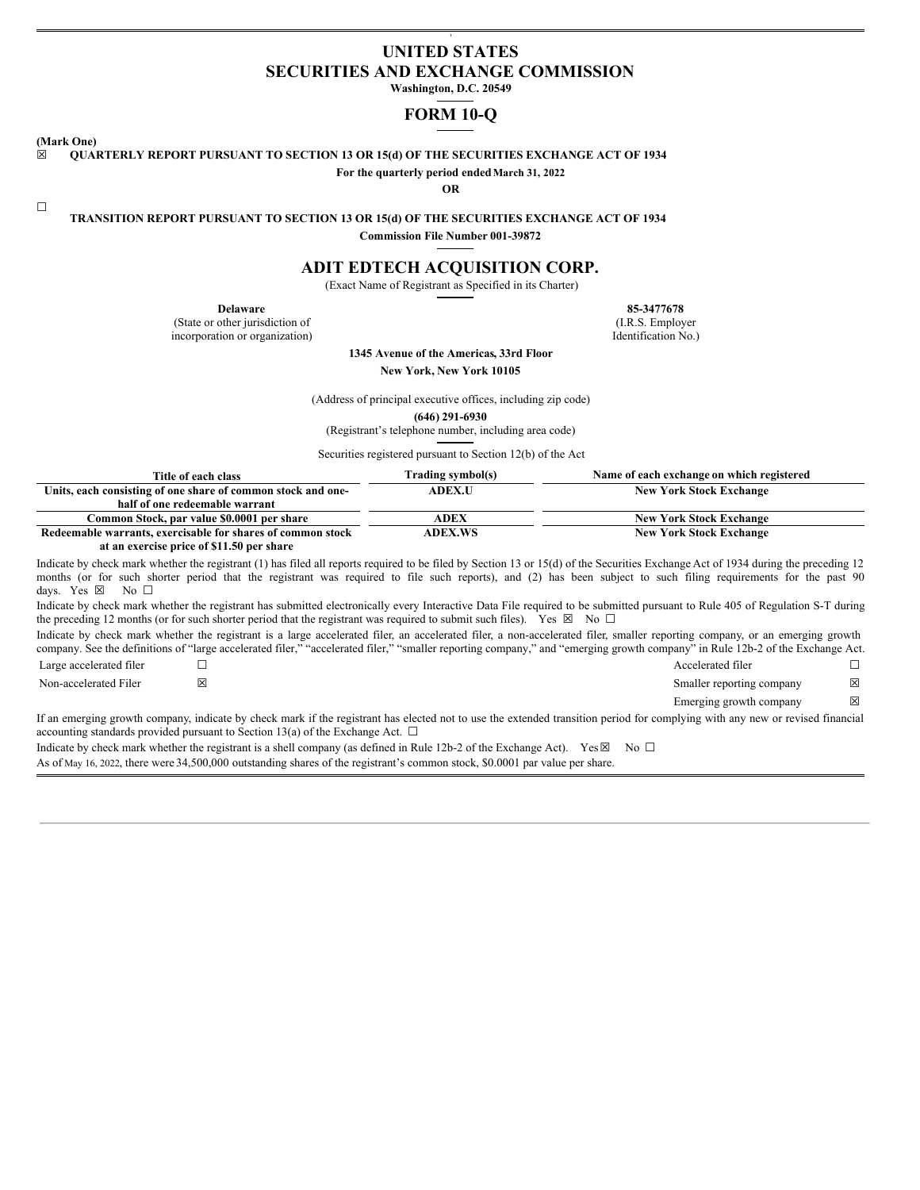# **f UNITED STATES SECURITIES AND EXCHANGE COMMISSION**

**Washington, D.C. 20549**

# **FORM 10-Q**

**(Mark One)**

**☐**

**☒ QUARTERLY REPORT PURSUANT TO SECTION 13 OR 15(d) OF THE SECURITIES EXCHANGE ACT OF 1934**

**For the quarterly period endedMarch 31, 2022**

**OR**

**TRANSITION REPORT PURSUANT TO SECTION 13 OR 15(d) OF THE SECURITIES EXCHANGE ACT OF 1934**

**Commission File Number 001-39872**

# **ADIT EDTECH ACQUISITION CORP.**

(Exact Name of Registrant as Specified in its Charter)

(State or other jurisdiction of incorporation or organization)

**Delaware 85-3477678** (I.R.S. Employer

Identification No.)

#### **1345 Avenue of the Americas, 33rd Floor New York, New York 10105**

(Address of principal executive offices, including zip code)

**(646) 291-6930**

(Registrant's telephone number, including area code)

Securities registered pursuant to Section 12(b) of the Act

| Title of each class                                          | Trading symbol(s) | Name of each exchange on which registered |
|--------------------------------------------------------------|-------------------|-------------------------------------------|
| Units, each consisting of one share of common stock and one- | <b>ADEX.U</b>     | <b>New York Stock Exchange</b>            |
| half of one redeemable warrant                               |                   |                                           |
| Common Stock, par value \$0.0001 per share                   | <b>ADEX</b>       | <b>New York Stock Exchange</b>            |
| Redeemable warrants, exercisable for shares of common stock  | <b>ADEX.WS</b>    | <b>New York Stock Exchange</b>            |

**at an exercise price of \$11.50 per share**

Indicate by check mark whether the registrant (1) has filed all reports required to be filed by Section 13 or 15(d) of the Securities Exchange Act of 1934 during the preceding 12 months (or for such shorter period that the registrant was required to file such reports), and (2) has been subject to such filing requirements for the past 90 days. Yes  $\boxtimes$  No  $\square$ 

Indicate by check mark whether the registrant has submitted electronically every Interactive Data File required to be submitted pursuant to Rule 405 of Regulation S-T during the preceding 12 months (or for such shorter period that the registrant was required to submit such files). Yes  $\boxtimes$  No  $\Box$ 

Indicate by check mark whether the registrant is a large accelerated filer, an accelerated filer, a non-accelerated filer, smaller reporting company, or an emerging growth company. See the definitions of "large accelerated filer," "accelerated filer," "smaller reporting company," and "emerging growth company" in Rule 12b-2 of the Exchange Act. Large accelerated filer ☐ Accelerated filer ☐ Non-accelerated Filer ⊠ ⊠ Smaller reporting company ⊠ Emerging growth company  $\boxtimes$ 

If an emerging growth company, indicate by check mark if the registrant has elected not to use the extended transition period for complying with any new or revised financial accounting standards provided pursuant to Section 13(a) of the Exchange Act.  $\Box$ 

Indicate by check mark whether the registrant is a shell company (as defined in Rule 12b-2 of the Exchange Act). Yes  $\boxtimes$  No  $\Box$ As of May 16, 2022, there were 34,500,000 outstanding shares of the registrant's common stock, \$0.0001 par value per share.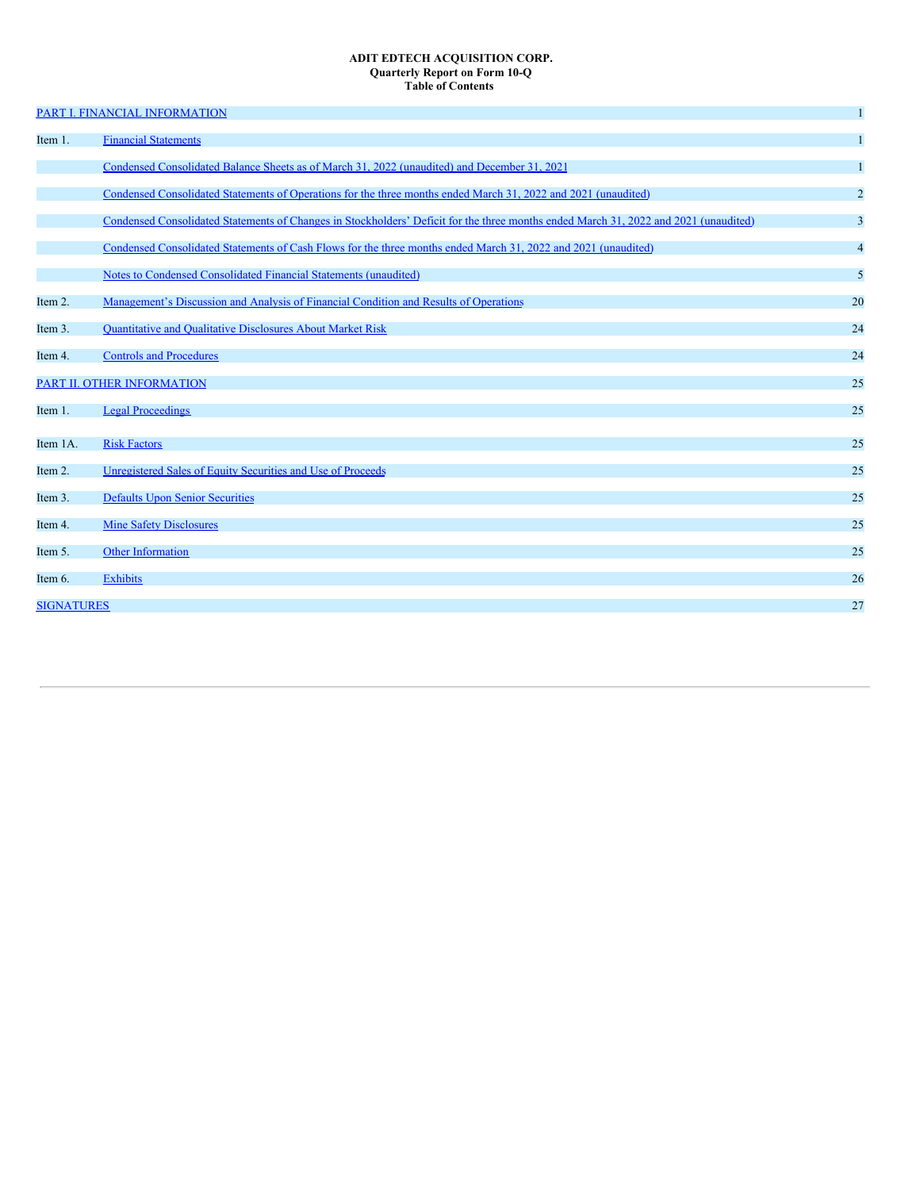### **ADIT EDTECH ACQUISITION CORP. Quarterly Report on Form 10-Q Table of Contents**

|                   | PART I. FINANCIAL INFORMATION                                                                                                        | $\mathbf{1}$            |
|-------------------|--------------------------------------------------------------------------------------------------------------------------------------|-------------------------|
| Item 1.           | <b>Financial Statements</b>                                                                                                          | $\mathbf{1}$            |
|                   | Condensed Consolidated Balance Sheets as of March 31, 2022 (unaudited) and December 31, 2021                                         | $\mathbf{1}$            |
|                   | Condensed Consolidated Statements of Operations for the three months ended March 31, 2022 and 2021 (unaudited)                       | $\overline{c}$          |
|                   | Condensed Consolidated Statements of Changes in Stockholders' Deficit for the three months ended March 31, 2022 and 2021 (unaudited) | $\overline{\mathbf{3}}$ |
|                   | Condensed Consolidated Statements of Cash Flows for the three months ended March 31, 2022 and 2021 (unaudited)                       | $\overline{4}$          |
|                   | Notes to Condensed Consolidated Financial Statements (unaudited)                                                                     | 5                       |
| Item 2.           | Management's Discussion and Analysis of Financial Condition and Results of Operations                                                | 20                      |
| Item 3.           | <b>Quantitative and Qualitative Disclosures About Market Risk</b>                                                                    | 24                      |
| Item 4.           | <b>Controls and Procedures</b>                                                                                                       | 24                      |
|                   | PART II. OTHER INFORMATION                                                                                                           | 25                      |
| Item 1.           | <b>Legal Proceedings</b>                                                                                                             | 25                      |
|                   |                                                                                                                                      |                         |
| Item 1A.          | <b>Risk Factors</b>                                                                                                                  | 25                      |
| Item 2.           | Unregistered Sales of Equity Securities and Use of Proceeds                                                                          | 25                      |
| Item 3.           | <b>Defaults Upon Senior Securities</b>                                                                                               | 25                      |
| Item 4.           | <b>Mine Safety Disclosures</b>                                                                                                       | 25                      |
| Item 5.           | Other Information                                                                                                                    | 25                      |
| Item 6.           | <b>Exhibits</b>                                                                                                                      | 26                      |
| <b>SIGNATURES</b> |                                                                                                                                      | 27                      |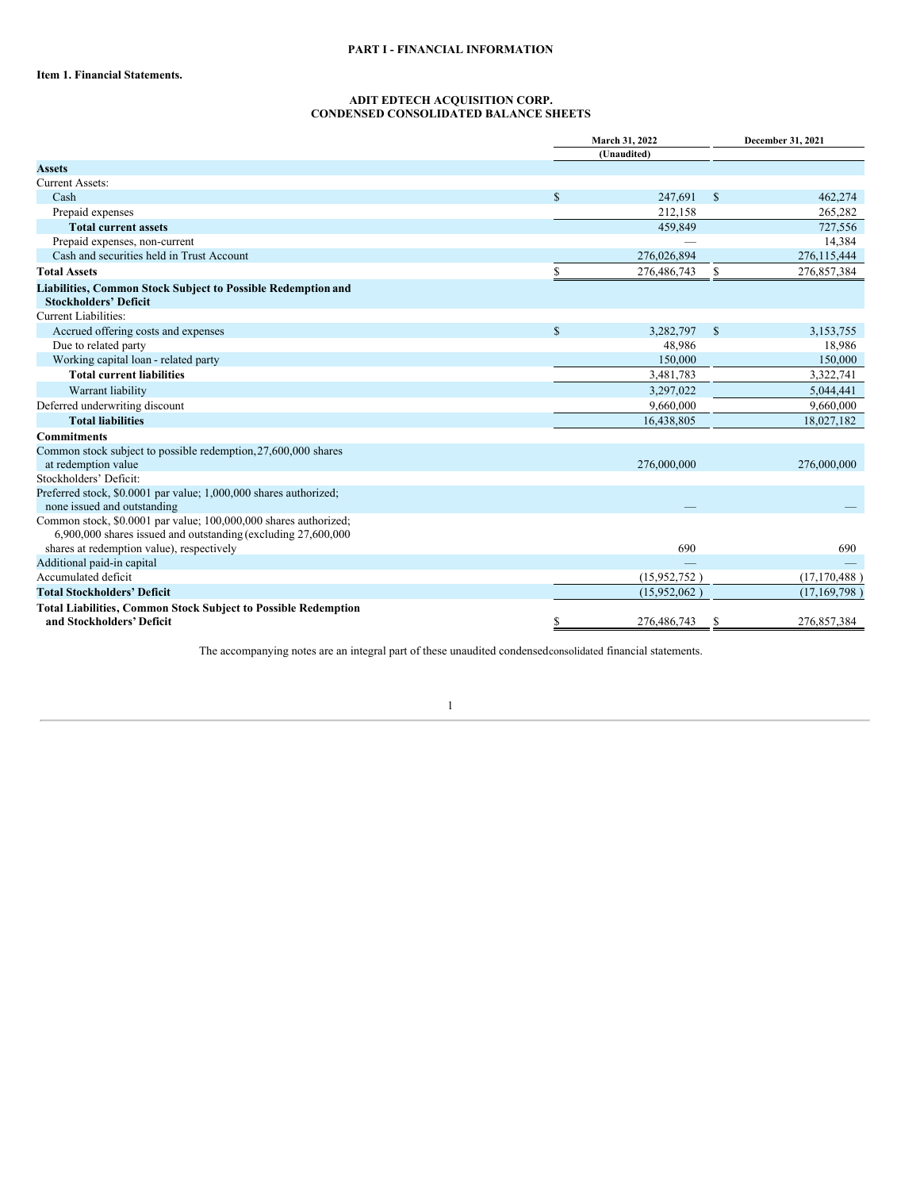### **ADIT EDTECH ACQUISITION CORP. CONDENSED CONSOLIDATED BALANCE SHEETS**

<span id="page-2-2"></span><span id="page-2-1"></span><span id="page-2-0"></span>

|                                                                                                                                                                                |              | March 31, 2022 |               |                |
|--------------------------------------------------------------------------------------------------------------------------------------------------------------------------------|--------------|----------------|---------------|----------------|
|                                                                                                                                                                                |              | (Unaudited)    |               |                |
| <b>Assets</b>                                                                                                                                                                  |              |                |               |                |
| Current Assets:                                                                                                                                                                |              |                |               |                |
| Cash                                                                                                                                                                           | $\mathbf S$  | 247,691        | $\mathcal{S}$ | 462,274        |
| Prepaid expenses                                                                                                                                                               |              | 212,158        |               | 265,282        |
| <b>Total current assets</b>                                                                                                                                                    |              | 459,849        |               | 727,556        |
| Prepaid expenses, non-current                                                                                                                                                  |              |                |               | 14,384         |
| Cash and securities held in Trust Account                                                                                                                                      |              | 276,026,894    |               | 276,115,444    |
| <b>Total Assets</b>                                                                                                                                                            | S            | 276,486,743    | \$            | 276,857,384    |
| <b>Liabilities, Common Stock Subject to Possible Redemption and</b><br><b>Stockholders' Deficit</b>                                                                            |              |                |               |                |
| <b>Current Liabilities:</b>                                                                                                                                                    |              |                |               |                |
| Accrued offering costs and expenses                                                                                                                                            | $\mathbb{S}$ | 3,282,797      | $\mathbb{S}$  | 3,153,755      |
| Due to related party                                                                                                                                                           |              | 48,986         |               | 18,986         |
| Working capital loan - related party                                                                                                                                           |              | 150,000        |               | 150,000        |
| <b>Total current liabilities</b>                                                                                                                                               |              | 3,481,783      |               | 3,322,741      |
| Warrant liability                                                                                                                                                              |              | 3,297,022      |               | 5,044,441      |
| Deferred underwriting discount                                                                                                                                                 |              | 9,660,000      |               | 9,660,000      |
| <b>Total liabilities</b>                                                                                                                                                       |              | 16.438.805     |               | 18,027,182     |
| <b>Commitments</b>                                                                                                                                                             |              |                |               |                |
| Common stock subject to possible redemption, 27,600,000 shares<br>at redemption value                                                                                          |              | 276,000,000    |               | 276,000,000    |
| Stockholders' Deficit:                                                                                                                                                         |              |                |               |                |
| Preferred stock, \$0.0001 par value; 1,000,000 shares authorized;<br>none issued and outstanding                                                                               |              |                |               |                |
| Common stock, \$0.0001 par value; 100,000,000 shares authorized;<br>6,900,000 shares issued and outstanding (excluding 27,600,000<br>shares at redemption value), respectively |              | 690            |               | 690            |
| Additional paid-in capital                                                                                                                                                     |              |                |               |                |
| Accumulated deficit                                                                                                                                                            |              | (15,952,752)   |               | (17, 170, 488) |
| <b>Total Stockholders' Deficit</b>                                                                                                                                             |              | (15.952.062)   |               | (17, 169, 798) |
| <b>Total Liabilities, Common Stock Subject to Possible Redemption</b><br>and Stockholders' Deficit                                                                             | \$           | 276,486,743    | \$            | 276,857,384    |

The accompanying notes are an integral part of these unaudited condensedconsolidated financial statements.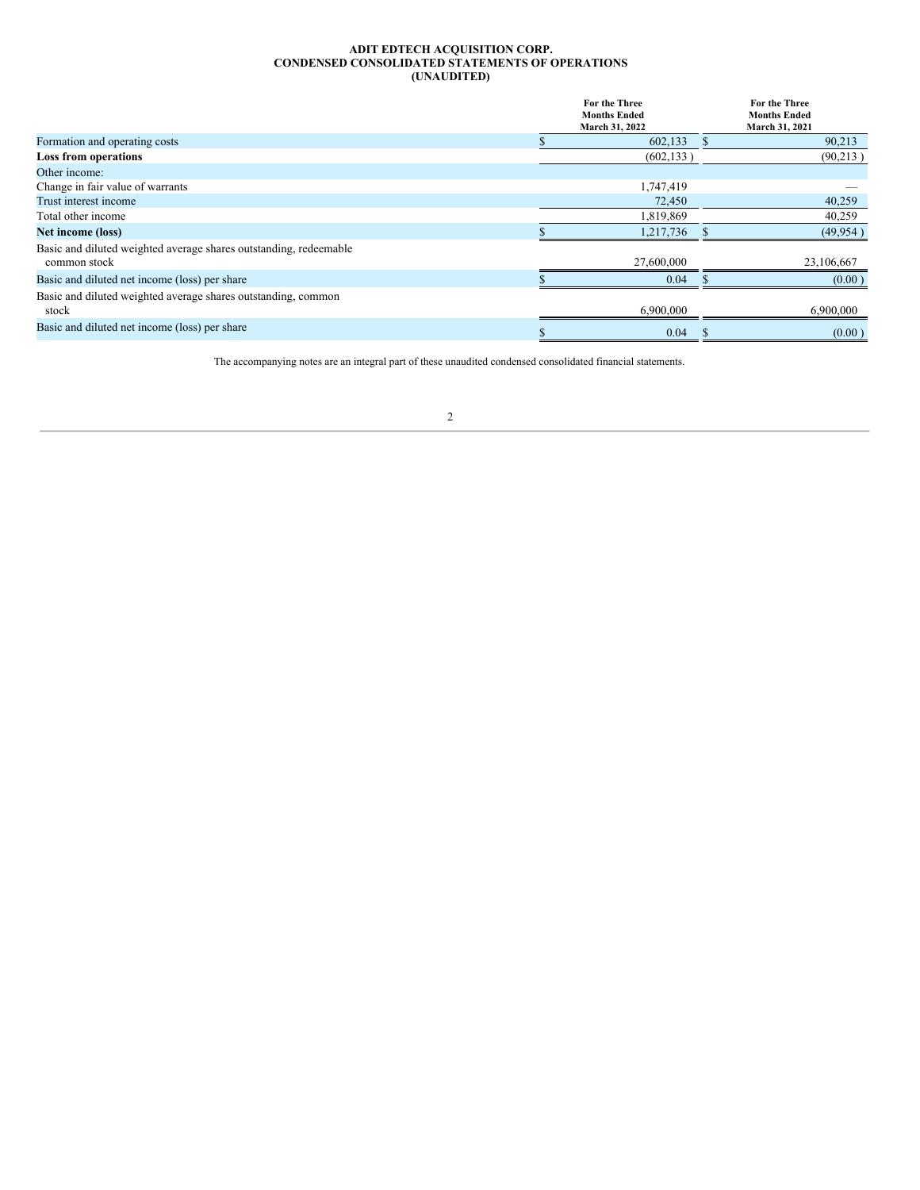#### **ADIT EDTECH ACQUISITION CORP. CONDENSED CONSOLIDATED STATEMENTS OF OPERATIONS (UNAUDITED)**

<span id="page-3-0"></span>

|                                                                                   | For the Three<br><b>Months Ended</b><br>March 31, 2022 | For the Three<br><b>Months Ended</b><br>March 31, 2021 |            |  |
|-----------------------------------------------------------------------------------|--------------------------------------------------------|--------------------------------------------------------|------------|--|
| Formation and operating costs                                                     | 602,133                                                |                                                        | 90,213     |  |
| <b>Loss from operations</b>                                                       | (602, 133)                                             |                                                        | (90, 213)  |  |
| Other income:                                                                     |                                                        |                                                        |            |  |
| Change in fair value of warrants                                                  | 1,747,419                                              |                                                        |            |  |
| Trust interest income                                                             | 72,450                                                 |                                                        | 40,259     |  |
| Total other income                                                                | 1,819,869                                              |                                                        | 40,259     |  |
| Net income (loss)                                                                 | 1,217,736                                              |                                                        | (49, 954)  |  |
| Basic and diluted weighted average shares outstanding, redeemable<br>common stock | 27,600,000                                             |                                                        | 23,106,667 |  |
| Basic and diluted net income (loss) per share                                     | 0.04                                                   |                                                        | (0.00)     |  |
| Basic and diluted weighted average shares outstanding, common<br>stock            | 6,900,000                                              |                                                        | 6,900,000  |  |
| Basic and diluted net income (loss) per share                                     | \$<br>0.04                                             |                                                        | (0.00)     |  |

The accompanying notes are an integral part of these unaudited condensed consolidated financial statements.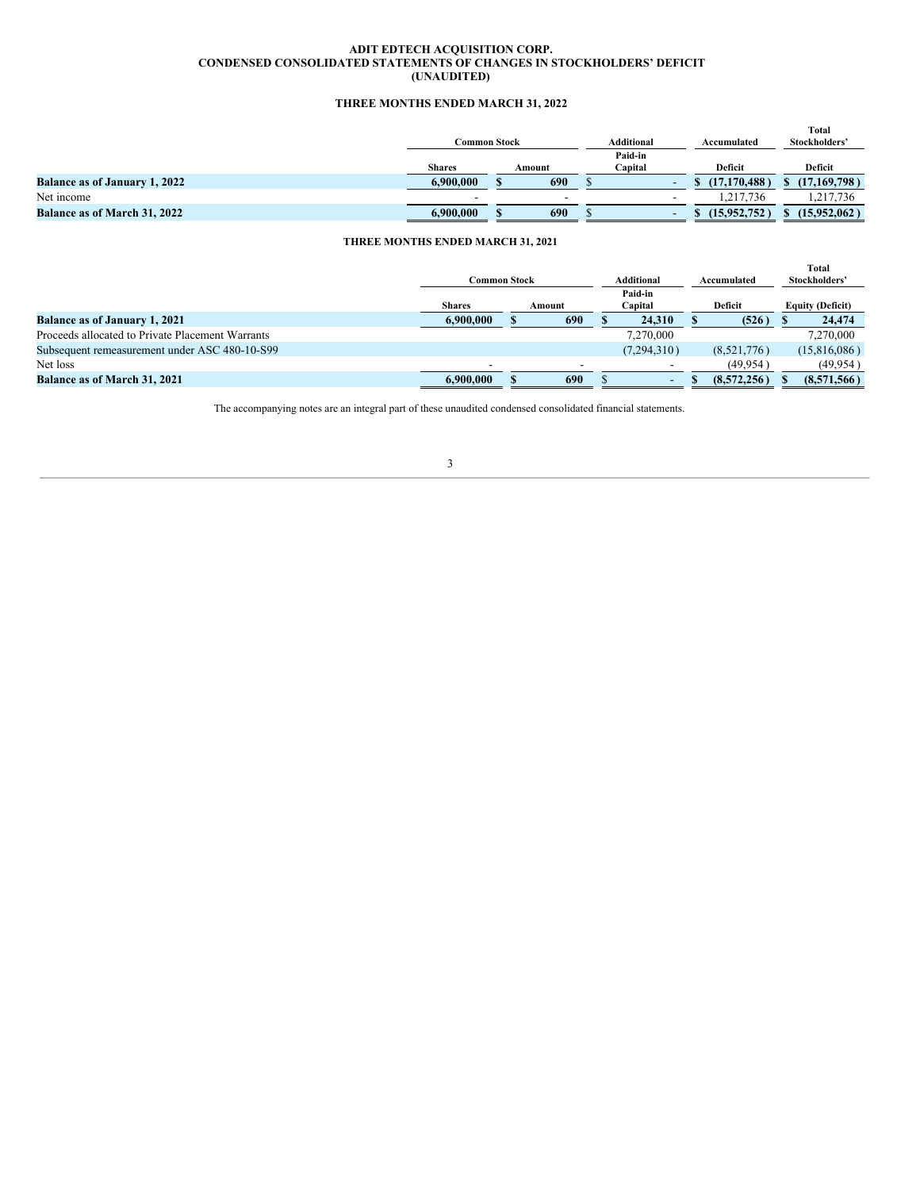#### **ADIT EDTECH ACQUISITION CORP. CONDENSED CONSOLIDATED STATEMENTS OF CHANGES IN STOCKHOLDERS' DEFICIT (UNAUDITED)**

# **THREE MONTHS ENDED MARCH 31, 2022**

<span id="page-4-0"></span>

|                                      |               |  |        |                   |         |  |              | Total          |
|--------------------------------------|---------------|--|--------|-------------------|---------|--|--------------|----------------|
|                                      | Common Stock  |  |        | <b>Additional</b> |         |  | Accumulated  | Stockholders'  |
|                                      | Paid-in       |  |        |                   |         |  |              |                |
|                                      | <b>Shares</b> |  | Amount |                   | Capital |  | Deficit      | Deficit        |
| <b>Balance as of January 1, 2022</b> | 6,900,000     |  | 690    |                   |         |  | (17.170.488) | (17, 169, 798) |
| Net income                           |               |  |        |                   | -       |  | 1.217.736    | 1.217.736      |
| <b>Balance as of March 31, 2022</b>  | 6,900,000     |  | 690    |                   | -       |  | (15,952,752) | (15.952.062)   |

## **THREE MONTHS ENDED MARCH 31, 2021**

|                                                  |                     |        |         |                          |             | Total                   |  |  |  |  |  |  |  |  |  |  |  |  |  |  |  |  |  |  |  |  |  |  |  |  |
|--------------------------------------------------|---------------------|--------|---------|--------------------------|-------------|-------------------------|--|--|--|--|--|--|--|--|--|--|--|--|--|--|--|--|--|--|--|--|--|--|--|--|
|                                                  | <b>Common Stock</b> |        |         | <b>Additional</b>        | Accumulated | Stockholders'           |  |  |  |  |  |  |  |  |  |  |  |  |  |  |  |  |  |  |  |  |  |  |  |  |
|                                                  |                     |        | Paid-in |                          |             |                         |  |  |  |  |  |  |  |  |  |  |  |  |  |  |  |  |  |  |  |  |  |  |  |  |
|                                                  | <b>Shares</b>       | Amount |         | Capital                  | Deficit     | <b>Equity (Deficit)</b> |  |  |  |  |  |  |  |  |  |  |  |  |  |  |  |  |  |  |  |  |  |  |  |  |
| <b>Balance as of January 1, 2021</b>             | 6.900.000           | 690    |         | 24.310                   | (526)       | 24,474                  |  |  |  |  |  |  |  |  |  |  |  |  |  |  |  |  |  |  |  |  |  |  |  |  |
| Proceeds allocated to Private Placement Warrants |                     |        |         | 7.270.000                |             | 7.270.000               |  |  |  |  |  |  |  |  |  |  |  |  |  |  |  |  |  |  |  |  |  |  |  |  |
| Subsequent remeasurement under ASC 480-10-S99    |                     |        |         | (7,294,310)              | (8,521,776) | (15,816,086)            |  |  |  |  |  |  |  |  |  |  |  |  |  |  |  |  |  |  |  |  |  |  |  |  |
| Net loss                                         |                     |        |         |                          | (49, 954)   | (49, 954)               |  |  |  |  |  |  |  |  |  |  |  |  |  |  |  |  |  |  |  |  |  |  |  |  |
| Balance as of March 31, 2021                     | 6.900.000           | 690    |         | $\overline{\phantom{0}}$ | (8,572,256) | (8,571,566)             |  |  |  |  |  |  |  |  |  |  |  |  |  |  |  |  |  |  |  |  |  |  |  |  |

The accompanying notes are an integral part of these unaudited condensed consolidated financial statements.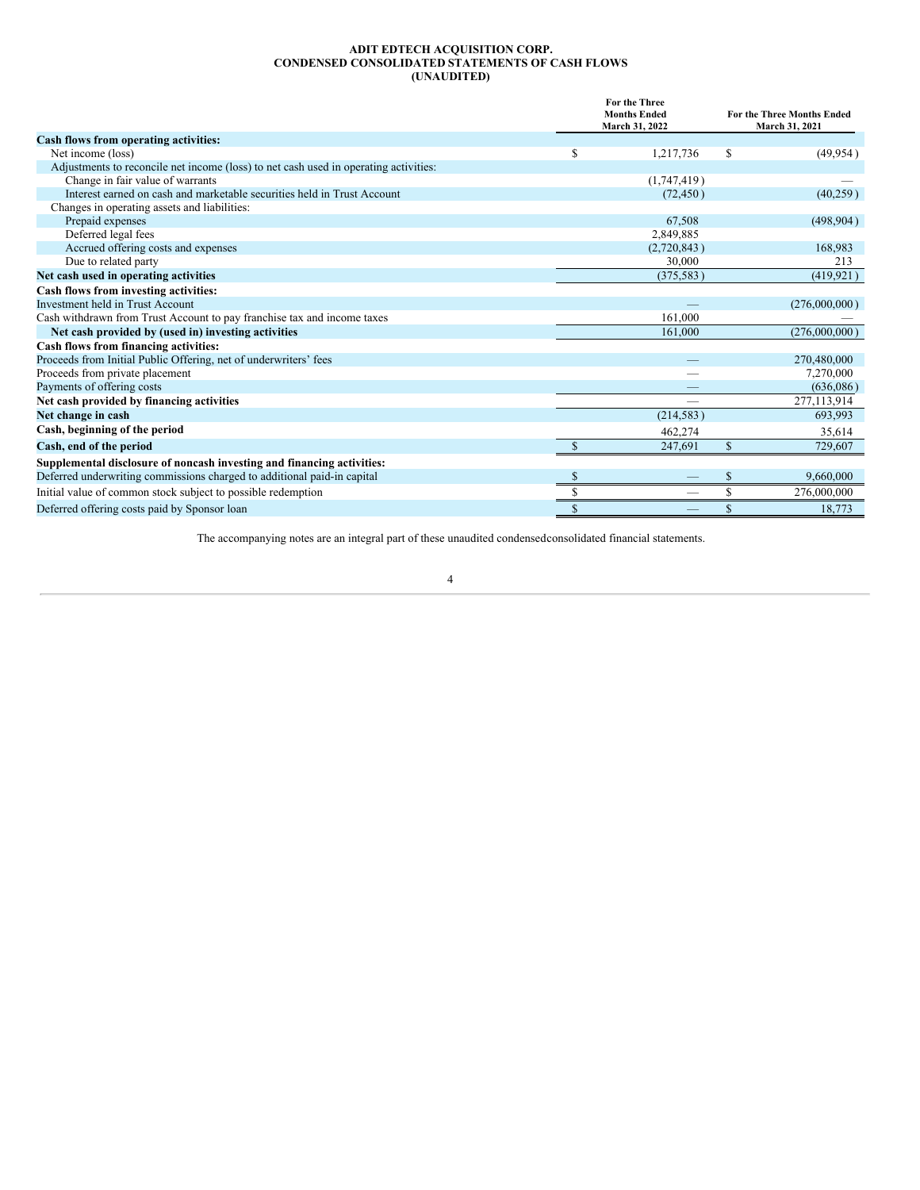#### **ADIT EDTECH ACQUISITION CORP. CONDENSED CONSOLIDATED STATEMENTS OF CASH FLOWS (UNAUDITED)**

<span id="page-5-0"></span>

|                                                                                      |               | For the Three<br><b>Months Ended</b><br>March 31, 2022 |              | <b>For the Three Months Ended</b><br>March 31, 2021 |
|--------------------------------------------------------------------------------------|---------------|--------------------------------------------------------|--------------|-----------------------------------------------------|
| Cash flows from operating activities:                                                |               |                                                        |              |                                                     |
| Net income (loss)                                                                    | \$            | 1,217,736                                              | \$           | (49, 954)                                           |
| Adjustments to reconcile net income (loss) to net cash used in operating activities: |               |                                                        |              |                                                     |
| Change in fair value of warrants                                                     |               | (1,747,419)                                            |              |                                                     |
| Interest earned on cash and marketable securities held in Trust Account              |               | (72, 450)                                              |              | (40, 259)                                           |
| Changes in operating assets and liabilities:                                         |               |                                                        |              |                                                     |
| Prepaid expenses                                                                     |               | 67,508                                                 |              | (498, 904)                                          |
| Deferred legal fees                                                                  |               | 2,849,885                                              |              |                                                     |
| Accrued offering costs and expenses                                                  |               | (2,720,843)                                            |              | 168,983                                             |
| Due to related party                                                                 |               | 30,000                                                 |              | 213                                                 |
| Net cash used in operating activities                                                |               | (375, 583)                                             |              | (419, 921)                                          |
| Cash flows from investing activities:                                                |               |                                                        |              |                                                     |
| Investment held in Trust Account                                                     |               |                                                        |              | (276,000,000)                                       |
| Cash withdrawn from Trust Account to pay franchise tax and income taxes              |               | 161.000                                                |              |                                                     |
| Net cash provided by (used in) investing activities                                  |               | 161,000                                                |              | (276,000,000)                                       |
| Cash flows from financing activities:                                                |               |                                                        |              |                                                     |
| Proceeds from Initial Public Offering, net of underwriters' fees                     |               |                                                        |              | 270,480,000                                         |
| Proceeds from private placement                                                      |               |                                                        |              | 7,270,000                                           |
| Payments of offering costs                                                           |               |                                                        |              | (636,086)                                           |
| Net cash provided by financing activities                                            |               |                                                        |              | 277,113,914                                         |
| Net change in cash                                                                   |               | (214, 583)                                             |              | 693,993                                             |
| Cash, beginning of the period                                                        |               | 462.274                                                |              | 35.614                                              |
| Cash, end of the period                                                              | $\mathcal{S}$ | 247,691                                                | $\mathbb{S}$ | 729,607                                             |
| Supplemental disclosure of noncash investing and financing activities:               |               |                                                        |              |                                                     |
| Deferred underwriting commissions charged to additional paid-in capital              |               |                                                        | S            | 9,660,000                                           |
| Initial value of common stock subject to possible redemption                         | S             |                                                        | S            | 276,000,000                                         |
| Deferred offering costs paid by Sponsor loan                                         | S             |                                                        | \$.          | 18,773                                              |

The accompanying notes are an integral part of these unaudited condensedconsolidated financial statements.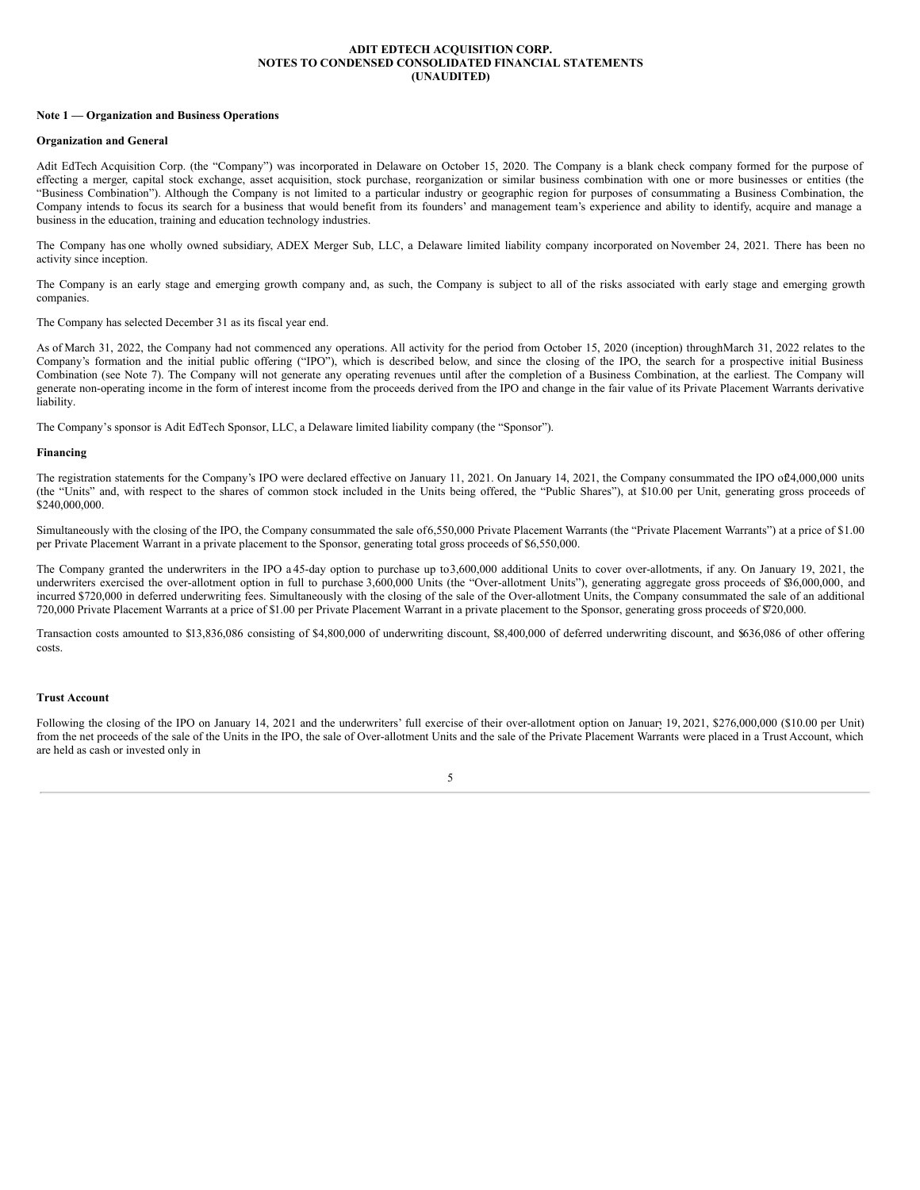### **ADIT EDTECH ACQUISITION CORP. NOTES TO CONDENSED CONSOLIDATED FINANCIAL STATEMENTS (UNAUDITED)**

#### <span id="page-6-0"></span>**Note 1 — Organization and Business Operations**

## **Organization and General**

Adit EdTech Acquisition Corp. (the "Company") was incorporated in Delaware on October 15, 2020. The Company is a blank check company formed for the purpose of effecting a merger, capital stock exchange, asset acquisition, stock purchase, reorganization or similar business combination with one or more businesses or entities (the "Business Combination"). Although the Company is not limited to a particular industry or geographic region for purposes of consummating a Business Combination, the Company intends to focus its search for a business that would benefit from its founders' and management team's experience and ability to identify, acquire and manage a business in the education, training and education technology industries.

The Company has one wholly owned subsidiary, ADEX Merger Sub, LLC, a Delaware limited liability company incorporated on November 24, 2021. There has been no activity since inception.

The Company is an early stage and emerging growth company and, as such, the Company is subject to all of the risks associated with early stage and emerging growth companies.

The Company has selected December 31 as its fiscal year end.

As of March 31, 2022, the Company had not commenced any operations. All activity for the period from October 15, 2020 (inception) throughMarch 31, 2022 relates to the Company's formation and the initial public offering ("IPO"), which is described below, and since the closing of the IPO, the search for a prospective initial Business Combination (see Note 7). The Company will not generate any operating revenues until after the completion of a Business Combination, at the earliest. The Company will generate non-operating income in the form of interest income from the proceeds derived from the IPO and change in the fair value of its Private Placement Warrants derivative liability.

The Company's sponsor is Adit EdTech Sponsor, LLC, a Delaware limited liability company (the "Sponsor").

### **Financing**

The registration statements for the Company's IPO were declared effective on January 11, 2021. On January 14, 2021, the Company consummated the IPO of24,000,000 units (the "Units" and, with respect to the shares of common stock included in the Units being offered, the "Public Shares"), at \$10.00 per Unit, generating gross proceeds of \$240,000,000.

Simultaneously with the closing of the IPO, the Company consummated the sale of6,550,000 Private Placement Warrants (the "Private Placement Warrants") at a price of \$1.00 per Private Placement Warrant in a private placement to the Sponsor, generating total gross proceeds of \$6,550,000.

The Company granted the underwriters in the IPO a 45-day option to purchase up to3,600,000 additional Units to cover over-allotments, if any. On January 19, 2021, the underwriters exercised the over-allotment option in full to purchase 3,600,000 Units (the "Over-allotment Units"), generating aggregate gross proceeds of \$36,000,000, and incurred \$720,000 in deferred underwriting fees. Simultaneously with the closing of the sale of the Over-allotment Units, the Company consummated the sale of an additional 720,000 Private Placement Warrants at a price of \$1.00 per Private Placement Warrant in a private placement to the Sponsor, generating gross proceeds of \$720,000.

Transaction costs amounted to \$13,836,086 consisting of \$4,800,000 of underwriting discount, \$8,400,000 of deferred underwriting discount, and \$636,086 of other offering costs.

#### **Trust Account**

Following the closing of the IPO on January 14, 2021 and the underwriters' full exercise of their over-allotment option on Januar 19, 2021, \$276,000,000 (\$10.00 per Unit) from the net proceeds of the sale of the Units in the IPO, the sale of Over-allotment Units and the sale of the Private Placement Warrants were placed in a Trust Account, which are held as cash or invested only in

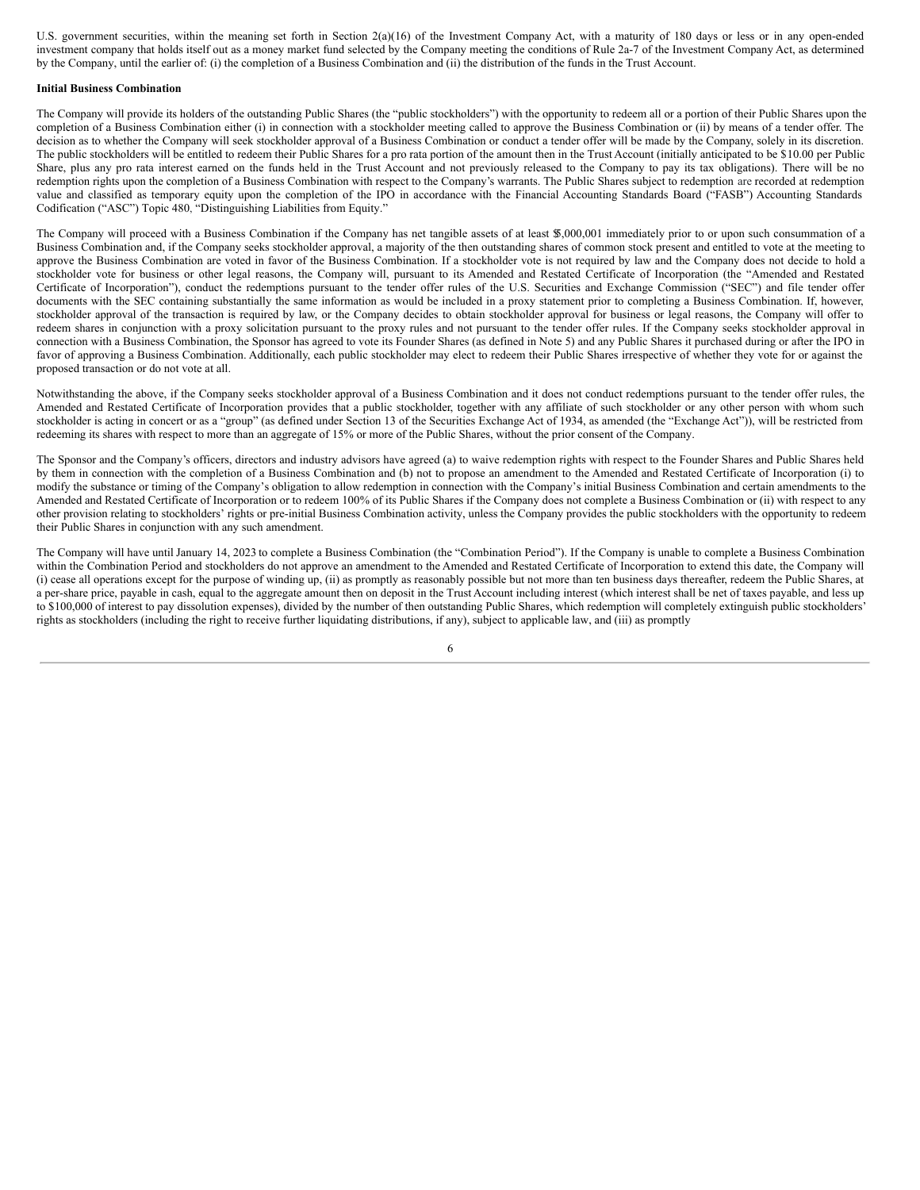U.S. government securities, within the meaning set forth in Section 2(a)(16) of the Investment Company Act, with a maturity of 180 days or less or in any open-ended investment company that holds itself out as a money market fund selected by the Company meeting the conditions of Rule 2a-7 of the Investment Company Act, as determined by the Company, until the earlier of: (i) the completion of a Business Combination and (ii) the distribution of the funds in the Trust Account.

### **Initial Business Combination**

The Company will provide its holders of the outstanding Public Shares (the "public stockholders") with the opportunity to redeem all or a portion of their Public Shares upon the completion of a Business Combination either (i) in connection with a stockholder meeting called to approve the Business Combination or (ii) by means of a tender offer. The decision as to whether the Company will seek stockholder approval of a Business Combination or conduct a tender offer will be made by the Company, solely in its discretion. The public stockholders will be entitled to redeem their Public Shares for a pro rata portion of the amount then in the Trust Account (initially anticipated to be \$10.00 per Public Share, plus any pro rata interest earned on the funds held in the Trust Account and not previously released to the Company to pay its tax obligations). There will be no redemption rights upon the completion of a Business Combination with respect to the Company's warrants. The Public Shares subject to redemption are recorded at redemption value and classified as temporary equity upon the completion of the IPO in accordance with the Financial Accounting Standards Board ("FASB") Accounting Standards Codification ("ASC") Topic 480, "Distinguishing Liabilities from Equity."

The Company will proceed with a Business Combination if the Company has net tangible assets of at least \$,000,001 immediately prior to or upon such consummation of a Business Combination and, if the Company seeks stockholder approval, a majority of the then outstanding shares of common stock present and entitled to vote at the meeting to approve the Business Combination are voted in favor of the Business Combination. If a stockholder vote is not required by law and the Company does not decide to hold a stockholder vote for business or other legal reasons, the Company will, pursuant to its Amended and Restated Certificate of Incorporation (the "Amended and Restated Certificate of Incorporation"), conduct the redemptions pursuant to the tender offer rules of the U.S. Securities and Exchange Commission ("SEC") and file tender offer documents with the SEC containing substantially the same information as would be included in a proxy statement prior to completing a Business Combination. If, however, stockholder approval of the transaction is required by law, or the Company decides to obtain stockholder approval for business or legal reasons, the Company will offer to redeem shares in conjunction with a proxy solicitation pursuant to the proxy rules and not pursuant to the tender offer rules. If the Company seeks stockholder approval in connection with a Business Combination, the Sponsor has agreed to vote its Founder Shares (as defined in Note 5) and any Public Shares it purchased during or after the IPO in favor of approving a Business Combination. Additionally, each public stockholder may elect to redeem their Public Shares irrespective of whether they vote for or against the proposed transaction or do not vote at all.

Notwithstanding the above, if the Company seeks stockholder approval of a Business Combination and it does not conduct redemptions pursuant to the tender offer rules, the Amended and Restated Certificate of Incorporation provides that a public stockholder, together with any affiliate of such stockholder or any other person with whom such stockholder is acting in concert or as a "group" (as defined under Section 13 of the Securities Exchange Act of 1934, as amended (the "Exchange Act")), will be restricted from redeeming its shares with respect to more than an aggregate of 15% or more of the Public Shares, without the prior consent of the Company.

The Sponsor and the Company's officers, directors and industry advisors have agreed (a) to waive redemption rights with respect to the Founder Shares and Public Shares held by them in connection with the completion of a Business Combination and (b) not to propose an amendment to the Amended and Restated Certificate of Incorporation (i) to modify the substance or timing of the Company's obligation to allow redemption in connection with the Company's initial Business Combination and certain amendments to the Amended and Restated Certificate of Incorporation or to redeem 100% of its Public Shares if the Company does not complete a Business Combination or (ii) with respect to any other provision relating to stockholders' rights or pre-initial Business Combination activity, unless the Company provides the public stockholders with the opportunity to redeem their Public Shares in conjunction with any such amendment.

The Company will have until January 14, 2023 to complete a Business Combination (the "Combination Period"). If the Company is unable to complete a Business Combination within the Combination Period and stockholders do not approve an amendment to the Amended and Restated Certificate of Incorporation to extend this date, the Company will (i) cease all operations except for the purpose of winding up, (ii) as promptly as reasonably possible but not more than ten business days thereafter, redeem the Public Shares, at a per-share price, payable in cash, equal to the aggregate amount then on deposit in the Trust Account including interest (which interest shall be net of taxes payable, and less up to \$100,000 of interest to pay dissolution expenses), divided by the number of then outstanding Public Shares, which redemption will completely extinguish public stockholders' rights as stockholders (including the right to receive further liquidating distributions, if any), subject to applicable law, and (iii) as promptly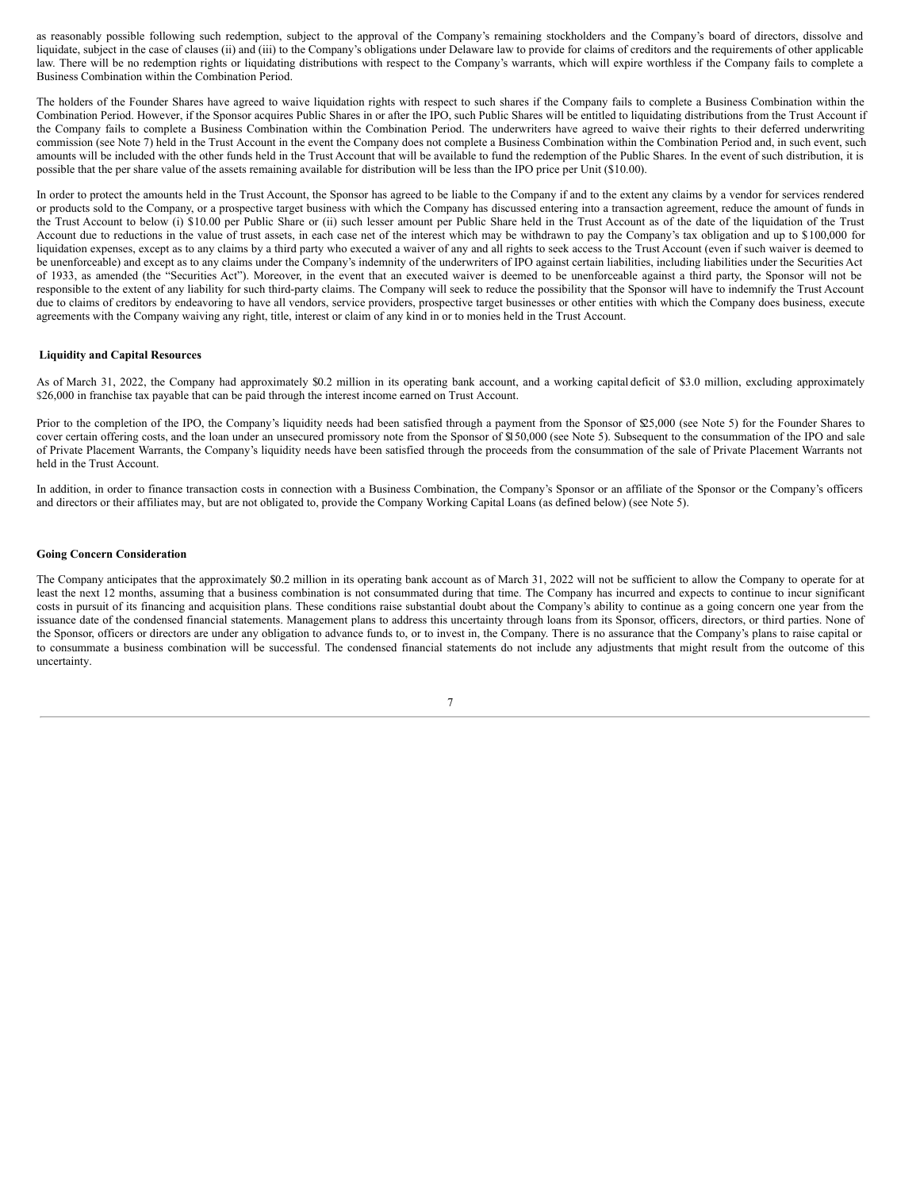as reasonably possible following such redemption, subject to the approval of the Company's remaining stockholders and the Company's board of directors, dissolve and liquidate, subject in the case of clauses (ii) and (iii) to the Company's obligations under Delaware law to provide for claims of creditors and the requirements of other applicable law. There will be no redemption rights or liquidating distributions with respect to the Company's warrants, which will expire worthless if the Company fails to complete a Business Combination within the Combination Period.

The holders of the Founder Shares have agreed to waive liquidation rights with respect to such shares if the Company fails to complete a Business Combination within the Combination Period. However, if the Sponsor acquires Public Shares in or after the IPO, such Public Shares will be entitled to liquidating distributions from the Trust Account if the Company fails to complete a Business Combination within the Combination Period. The underwriters have agreed to waive their rights to their deferred underwriting commission (see Note 7) held in the Trust Account in the event the Company does not complete a Business Combination within the Combination Period and, in such event, such amounts will be included with the other funds held in the Trust Account that will be available to fund the redemption of the Public Shares. In the event of such distribution, it is possible that the per share value of the assets remaining available for distribution will be less than the IPO price per Unit (\$10.00).

In order to protect the amounts held in the Trust Account, the Sponsor has agreed to be liable to the Company if and to the extent any claims by a vendor for services rendered or products sold to the Company, or a prospective target business with which the Company has discussed entering into a transaction agreement, reduce the amount of funds in the Trust Account to below (i) \$10.00 per Public Share or (ii) such lesser amount per Public Share held in the Trust Account as of the date of the liquidation of the Trust Account due to reductions in the value of trust assets, in each case net of the interest which may be withdrawn to pay the Company's tax obligation and up to \$100,000 for liquidation expenses, except as to any claims by a third party who executed a waiver of any and all rights to seek access to the Trust Account (even if such waiver is deemed to be unenforceable) and except as to any claims under the Company's indemnity of the underwriters of IPO against certain liabilities, including liabilities under the Securities Act of 1933, as amended (the "Securities Act"). Moreover, in the event that an executed waiver is deemed to be unenforceable against a third party, the Sponsor will not be responsible to the extent of any liability for such third-party claims. The Company will seek to reduce the possibility that the Sponsor will have to indemnify the Trust Account due to claims of creditors by endeavoring to have all vendors, service providers, prospective target businesses or other entities with which the Company does business, execute agreements with the Company waiving any right, title, interest or claim of any kind in or to monies held in the Trust Account.

#### **Liquidity and Capital Resources**

As of March 31, 2022, the Company had approximately \$0.2 million in its operating bank account, and a working capital deficit of \$3.0 million, excluding approximately \$26,000 in franchise tax payable that can be paid through the interest income earned on Trust Account.

Prior to the completion of the IPO, the Company's liquidity needs had been satisfied through a payment from the Sponsor of \$25,000 (see Note 5) for the Founder Shares to cover certain offering costs, and the loan under an unsecured promissory note from the Sponsor of \$150,000 (see Note 5). Subsequent to the consummation of the IPO and sale of Private Placement Warrants, the Company's liquidity needs have been satisfied through the proceeds from the consummation of the sale of Private Placement Warrants not held in the Trust Account.

In addition, in order to finance transaction costs in connection with a Business Combination, the Company's Sponsor or an affiliate of the Sponsor or the Company's officers and directors or their affiliates may, but are not obligated to, provide the Company Working Capital Loans (as defined below) (see Note 5).

### **Going Concern Consideration**

The Company anticipates that the approximately \$0.2 million in its operating bank account as of March 31, 2022 will not be sufficient to allow the Company to operate for at least the next 12 months, assuming that a business combination is not consummated during that time. The Company has incurred and expects to continue to incur significant costs in pursuit of its financing and acquisition plans. These conditions raise substantial doubt about the Company's ability to continue as a going concern one year from the issuance date of the condensed financial statements. Management plans to address this uncertainty through loans from its Sponsor, officers, directors, or third parties. None of the Sponsor, officers or directors are under any obligation to advance funds to, or to invest in, the Company. There is no assurance that the Company's plans to raise capital or to consummate a business combination will be successful. The condensed financial statements do not include any adjustments that might result from the outcome of this uncertainty.

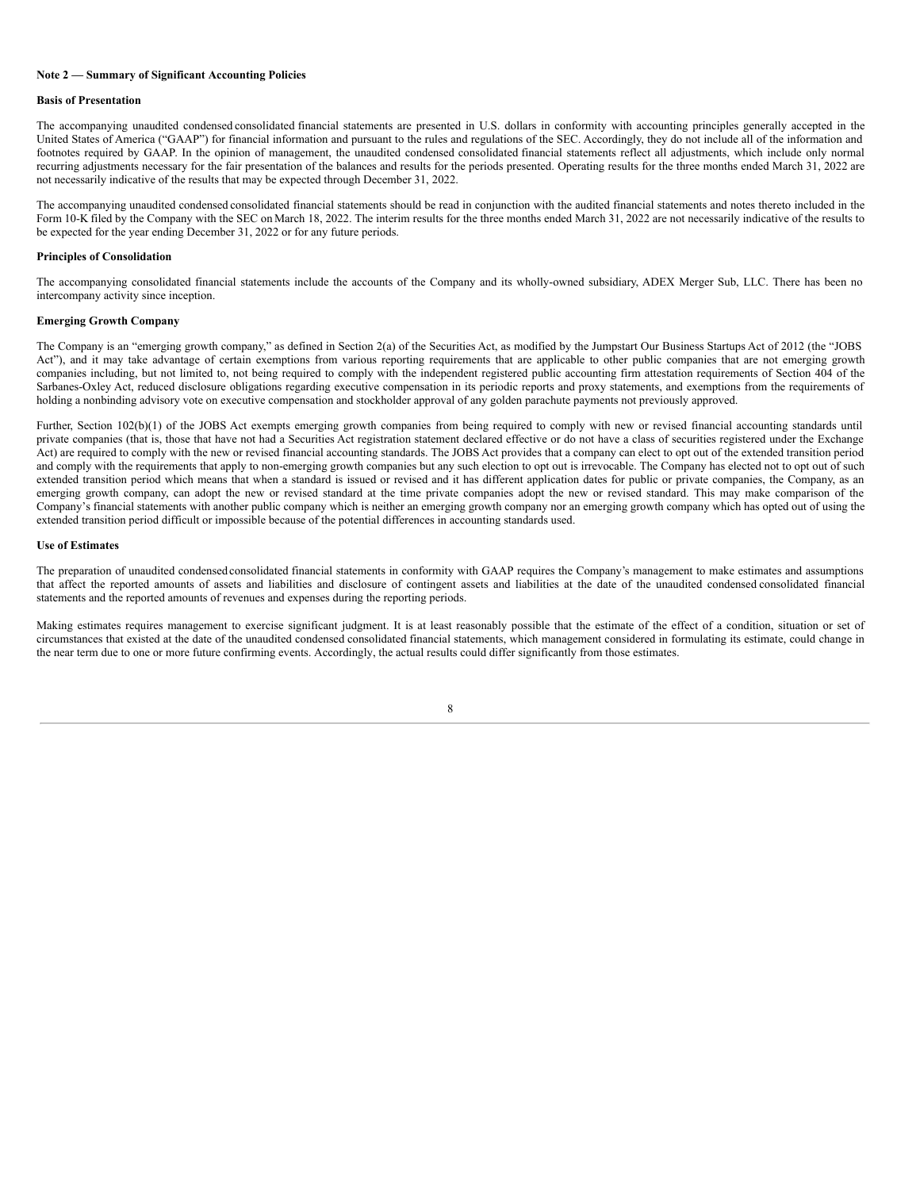### **Note 2 — Summary of Significant Accounting Policies**

### **Basis of Presentation**

The accompanying unaudited condensed consolidated financial statements are presented in U.S. dollars in conformity with accounting principles generally accepted in the United States of America ("GAAP") for financial information and pursuant to the rules and regulations of the SEC. Accordingly, they do not include all of the information and footnotes required by GAAP. In the opinion of management, the unaudited condensed consolidated financial statements reflect all adjustments, which include only normal recurring adjustments necessary for the fair presentation of the balances and results for the periods presented. Operating results for the three months ended March 31, 2022 are not necessarily indicative of the results that may be expected through December 31, 2022.

The accompanying unaudited condensed consolidated financial statements should be read in conjunction with the audited financial statements and notes thereto included in the Form 10-K filed by the Company with the SEC on March 18, 2022. The interim results for the three months ended March 31, 2022 are not necessarily indicative of the results to be expected for the year ending December 31, 2022 or for any future periods.

#### **Principles of Consolidation**

The accompanying consolidated financial statements include the accounts of the Company and its wholly-owned subsidiary, ADEX Merger Sub, LLC. There has been no intercompany activity since inception.

### **Emerging Growth Company**

The Company is an "emerging growth company," as defined in Section 2(a) of the Securities Act, as modified by the Jumpstart Our Business Startups Act of 2012 (the "JOBS Act"), and it may take advantage of certain exemptions from various reporting requirements that are applicable to other public companies that are not emerging growth companies including, but not limited to, not being required to comply with the independent registered public accounting firm attestation requirements of Section 404 of the Sarbanes-Oxley Act, reduced disclosure obligations regarding executive compensation in its periodic reports and proxy statements, and exemptions from the requirements of holding a nonbinding advisory vote on executive compensation and stockholder approval of any golden parachute payments not previously approved.

Further, Section 102(b)(1) of the JOBS Act exempts emerging growth companies from being required to comply with new or revised financial accounting standards until private companies (that is, those that have not had a Securities Act registration statement declared effective or do not have a class of securities registered under the Exchange Act) are required to comply with the new or revised financial accounting standards. The JOBS Act provides that a company can elect to opt out of the extended transition period and comply with the requirements that apply to non-emerging growth companies but any such election to opt out is irrevocable. The Company has elected not to opt out of such extended transition period which means that when a standard is issued or revised and it has different application dates for public or private companies, the Company, as an emerging growth company, can adopt the new or revised standard at the time private companies adopt the new or revised standard. This may make comparison of the Company's financial statements with another public company which is neither an emerging growth company nor an emerging growth company which has opted out of using the extended transition period difficult or impossible because of the potential differences in accounting standards used.

#### **Use of Estimates**

The preparation of unaudited condensed consolidated financial statements in conformity with GAAP requires the Company's management to make estimates and assumptions that affect the reported amounts of assets and liabilities and disclosure of contingent assets and liabilities at the date of the unaudited condensed consolidated financial statements and the reported amounts of revenues and expenses during the reporting periods.

Making estimates requires management to exercise significant judgment. It is at least reasonably possible that the estimate of the effect of a condition, situation or set of circumstances that existed at the date of the unaudited condensed consolidated financial statements, which management considered in formulating its estimate, could change in the near term due to one or more future confirming events. Accordingly, the actual results could differ significantly from those estimates.

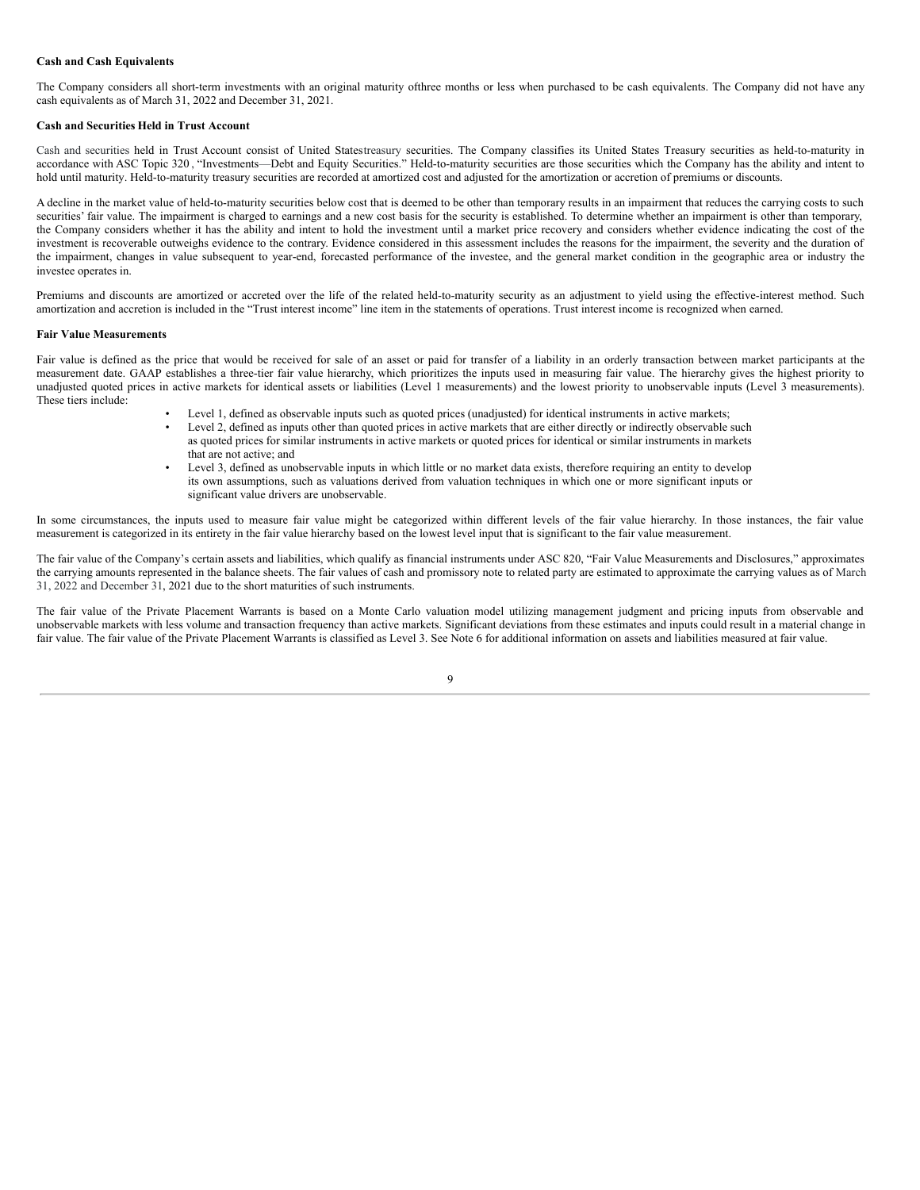#### **Cash and Cash Equivalents**

The Company considers all short-term investments with an original maturity ofthree months or less when purchased to be cash equivalents. The Company did not have any cash equivalents as of March 31, 2022 and December 31, 2021.

#### **Cash and Securities Held in Trust Account**

Cash and securities held in Trust Account consist of United Statestreasury securities. The Company classifies its United States Treasury securities as held-to-maturity in accordance with ASC Topic 320 , "Investments—Debt and Equity Securities." Held-to-maturity securities are those securities which the Company has the ability and intent to hold until maturity. Held-to-maturity treasury securities are recorded at amortized cost and adjusted for the amortization or accretion of premiums or discounts.

A decline in the market value of held-to-maturity securities below cost that is deemed to be other than temporary results in an impairment that reduces the carrying costs to such securities' fair value. The impairment is charged to earnings and a new cost basis for the security is established. To determine whether an impairment is other than temporary, the Company considers whether it has the ability and intent to hold the investment until a market price recovery and considers whether evidence indicating the cost of the investment is recoverable outweighs evidence to the contrary. Evidence considered in this assessment includes the reasons for the impairment, the severity and the duration of the impairment, changes in value subsequent to year-end, forecasted performance of the investee, and the general market condition in the geographic area or industry the investee operates in.

Premiums and discounts are amortized or accreted over the life of the related held-to-maturity security as an adjustment to yield using the effective-interest method. Such amortization and accretion is included in the "Trust interest income" line item in the statements of operations. Trust interest income is recognized when earned.

#### **Fair Value Measurements**

Fair value is defined as the price that would be received for sale of an asset or paid for transfer of a liability in an orderly transaction between market participants at the measurement date. GAAP establishes a three-tier fair value hierarchy, which prioritizes the inputs used in measuring fair value. The hierarchy gives the highest priority to unadjusted quoted prices in active markets for identical assets or liabilities (Level 1 measurements) and the lowest priority to unobservable inputs (Level 3 measurements). These tiers include:

- Level 1, defined as observable inputs such as quoted prices (unadjusted) for identical instruments in active markets;
- Level 2, defined as inputs other than quoted prices in active markets that are either directly or indirectly observable such as quoted prices for similar instruments in active markets or quoted prices for identical or similar instruments in markets that are not active; and
- Level 3, defined as unobservable inputs in which little or no market data exists, therefore requiring an entity to develop its own assumptions, such as valuations derived from valuation techniques in which one or more significant inputs or significant value drivers are unobservable.

In some circumstances, the inputs used to measure fair value might be categorized within different levels of the fair value hierarchy. In those instances, the fair value measurement is categorized in its entirety in the fair value hierarchy based on the lowest level input that is significant to the fair value measurement.

The fair value of the Company's certain assets and liabilities, which qualify as financial instruments under ASC 820, "Fair Value Measurements and Disclosures," approximates the carrying amounts represented in the balance sheets. The fair values of cash and promissory note to related party are estimated to approximate the carrying values as of March 31, 2022 and December 31, 2021 due to the short maturities of such instruments.

The fair value of the Private Placement Warrants is based on a Monte Carlo valuation model utilizing management judgment and pricing inputs from observable and unobservable markets with less volume and transaction frequency than active markets. Significant deviations from these estimates and inputs could result in a material change in fair value. The fair value of the Private Placement Warrants is classified as Level 3. See Note 6 for additional information on assets and liabilities measured at fair value.

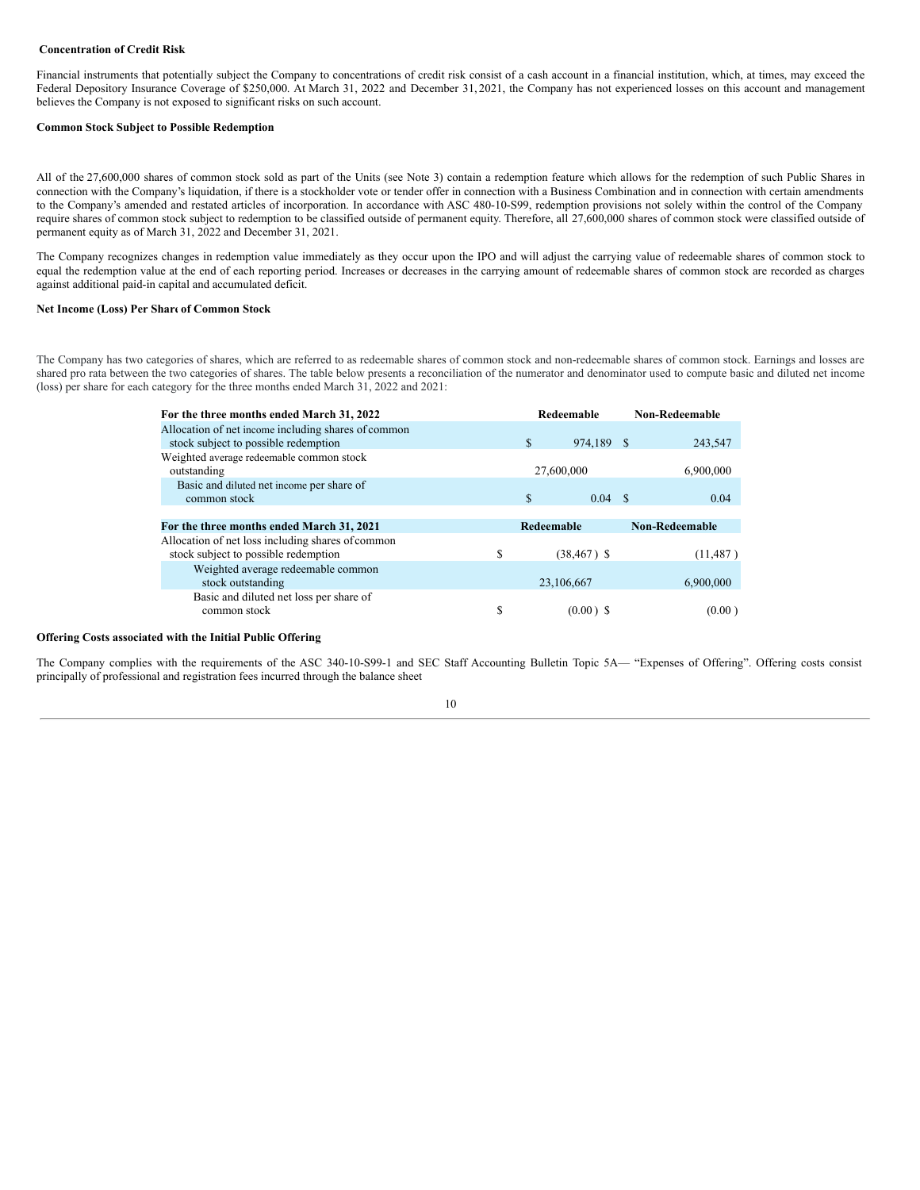#### **Concentration of Credit Risk**

Financial instruments that potentially subject the Company to concentrations of credit risk consist of a cash account in a financial institution, which, at times, may exceed the Federal Depository Insurance Coverage of \$250,000. At March 31, 2022 and December 31, 2021, the Company has not experienced losses on this account and management believes the Company is not exposed to significant risks on such account.

## **Common Stock Subject to Possible Redemption**

All of the 27,600,000 shares of common stock sold as part of the Units (see Note 3) contain a redemption feature which allows for the redemption of such Public Shares in connection with the Company's liquidation, if there is a stockholder vote or tender offer in connection with a Business Combination and in connection with certain amendments to the Company's amended and restated articles of incorporation. In accordance with ASC 480-10-S99, redemption provisions not solely within the control of the Company require shares of common stock subject to redemption to be classified outside of permanent equity. Therefore, all 27,600,000 shares of common stock were classified outside of permanent equity as of March 31, 2022 and December 31, 2021.

The Company recognizes changes in redemption value immediately as they occur upon the IPO and will adjust the carrying value of redeemable shares of common stock to equal the redemption value at the end of each reporting period. Increases or decreases in the carrying amount of redeemable shares of common stock are recorded as charges against additional paid-in capital and accumulated deficit.

#### **Net Income (Loss) Per Shareof Common Stock**

The Company has two categories of shares, which are referred to as redeemable shares of common stock and non-redeemable shares of common stock. Earnings and losses are shared pro rata between the two categories of shares. The table below presents a reconciliation of the numerator and denominator used to compute basic and diluted net income (loss) per share for each category for the three months ended March 31, 2022 and 2021:

| For the three months ended March 31, 2022           |    | Redeemable             | <b>Non-Redeemable</b> |  |  |  |
|-----------------------------------------------------|----|------------------------|-----------------------|--|--|--|
| Allocation of net income including shares of common |    |                        |                       |  |  |  |
| stock subject to possible redemption                |    | \$<br>974.189 \$       | 243,547               |  |  |  |
| Weighted average redeemable common stock            |    |                        |                       |  |  |  |
| outstanding                                         |    | 27,600,000             | 6,900,000             |  |  |  |
| Basic and diluted net income per share of           |    |                        |                       |  |  |  |
| common stock                                        |    | \$.<br>$0.04 \quad$ \$ | 0.04                  |  |  |  |
|                                                     |    |                        |                       |  |  |  |
|                                                     |    |                        |                       |  |  |  |
| For the three months ended March 31, 2021           |    | Redeemable             | <b>Non-Redeemable</b> |  |  |  |
| Allocation of net loss including shares of common   |    |                        |                       |  |  |  |
| stock subject to possible redemption                | S  | $(38, 467)$ \$         | (11, 487)             |  |  |  |
| Weighted average redeemable common                  |    |                        |                       |  |  |  |
| stock outstanding                                   |    | 23,106,667             | 6,900,000             |  |  |  |
| Basic and diluted net loss per share of             |    |                        |                       |  |  |  |
| common stock                                        | \$ | $(0.00)$ \$            | (0.00)                |  |  |  |

### **Offering Costs associated with the Initial Public Offering**

The Company complies with the requirements of the ASC 340-10-S99-1 and SEC Staff Accounting Bulletin Topic 5A— "Expenses of Offering". Offering costs consist principally of professional and registration fees incurred through the balance sheet

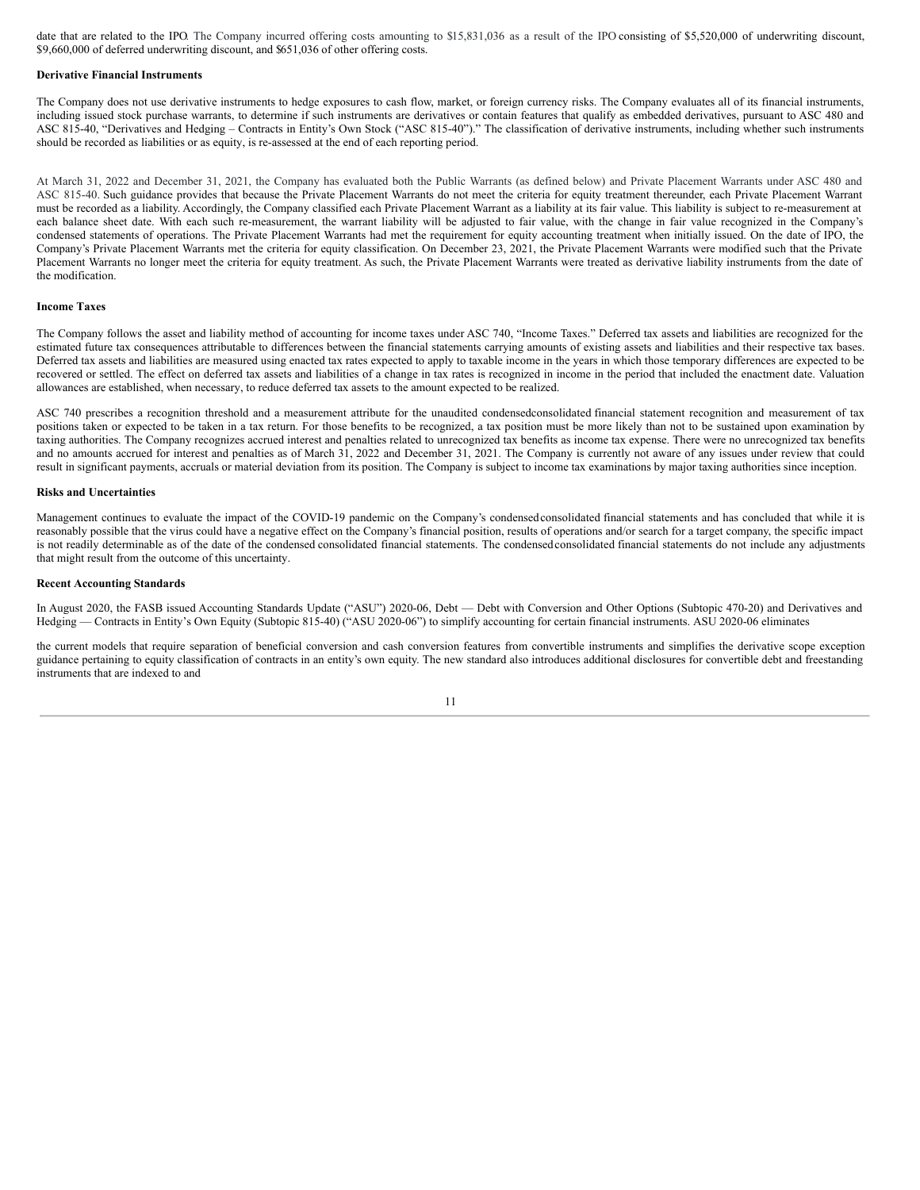date that are related to the IPO. The Company incurred offering costs amounting to \$15,831,036 as a result of the IPO consisting of \$5,520,000 of underwriting discount, \$9,660,000 of deferred underwriting discount, and \$651,036 of other offering costs.

#### **Derivative Financial Instruments**

The Company does not use derivative instruments to hedge exposures to cash flow, market, or foreign currency risks. The Company evaluates all of its financial instruments, including issued stock purchase warrants, to determine if such instruments are derivatives or contain features that qualify as embedded derivatives, pursuant to ASC 480 and ASC 815-40, "Derivatives and Hedging – Contracts in Entity's Own Stock ("ASC 815-40")." The classification of derivative instruments, including whether such instruments should be recorded as liabilities or as equity, is re-assessed at the end of each reporting period.

At March 31, 2022 and December 31, 2021, the Company has evaluated both the Public Warrants (as defined below) and Private Placement Warrants under ASC 480 and ASC 815-40. Such guidance provides that because the Private Placement Warrants do not meet the criteria for equity treatment thereunder, each Private Placement Warrant must be recorded as a liability. Accordingly, the Company classified each Private Placement Warrant as a liability at its fair value. This liability is subject to re-measurement at each balance sheet date. With each such re-measurement, the warrant liability will be adjusted to fair value, with the change in fair value recognized in the Company's condensed statements of operations. The Private Placement Warrants had met the requirement for equity accounting treatment when initially issued. On the date of IPO, the Company's Private Placement Warrants met the criteria for equity classification. On December 23, 2021, the Private Placement Warrants were modified such that the Private Placement Warrants no longer meet the criteria for equity treatment. As such, the Private Placement Warrants were treated as derivative liability instruments from the date of the modification.

### **Income Taxes**

The Company follows the asset and liability method of accounting for income taxes under ASC 740, "Income Taxes." Deferred tax assets and liabilities are recognized for the estimated future tax consequences attributable to differences between the financial statements carrying amounts of existing assets and liabilities and their respective tax bases. Deferred tax assets and liabilities are measured using enacted tax rates expected to apply to taxable income in the years in which those temporary differences are expected to be recovered or settled. The effect on deferred tax assets and liabilities of a change in tax rates is recognized in income in the period that included the enactment date. Valuation allowances are established, when necessary, to reduce deferred tax assets to the amount expected to be realized.

ASC 740 prescribes a recognition threshold and a measurement attribute for the unaudited condensedconsolidated financial statement recognition and measurement of tax positions taken or expected to be taken in a tax return. For those benefits to be recognized, a tax position must be more likely than not to be sustained upon examination by taxing authorities. The Company recognizes accrued interest and penalties related to unrecognized tax benefits as income tax expense. There were no unrecognized tax benefits and no amounts accrued for interest and penalties as of March 31, 2022 and December 31, 2021. The Company is currently not aware of any issues under review that could result in significant payments, accruals or material deviation from its position. The Company is subject to income tax examinations by major taxing authorities since inception.

#### **Risks and Uncertainties**

Management continues to evaluate the impact of the COVID-19 pandemic on the Company's condensedconsolidated financial statements and has concluded that while it is reasonably possible that the virus could have a negative effect on the Company's financial position, results of operations and/or search for a target company, the specific impact is not readily determinable as of the date of the condensed consolidated financial statements. The condensedconsolidated financial statements do not include any adjustments that might result from the outcome of this uncertainty.

#### **Recent Accounting Standards**

In August 2020, the FASB issued Accounting Standards Update ("ASU") 2020-06, Debt — Debt with Conversion and Other Options (Subtopic 470-20) and Derivatives and Hedging — Contracts in Entity's Own Equity (Subtopic 815-40) ("ASU 2020-06") to simplify accounting for certain financial instruments. ASU 2020-06 eliminates

the current models that require separation of beneficial conversion and cash conversion features from convertible instruments and simplifies the derivative scope exception guidance pertaining to equity classification of contracts in an entity's own equity. The new standard also introduces additional disclosures for convertible debt and freestanding instruments that are indexed to and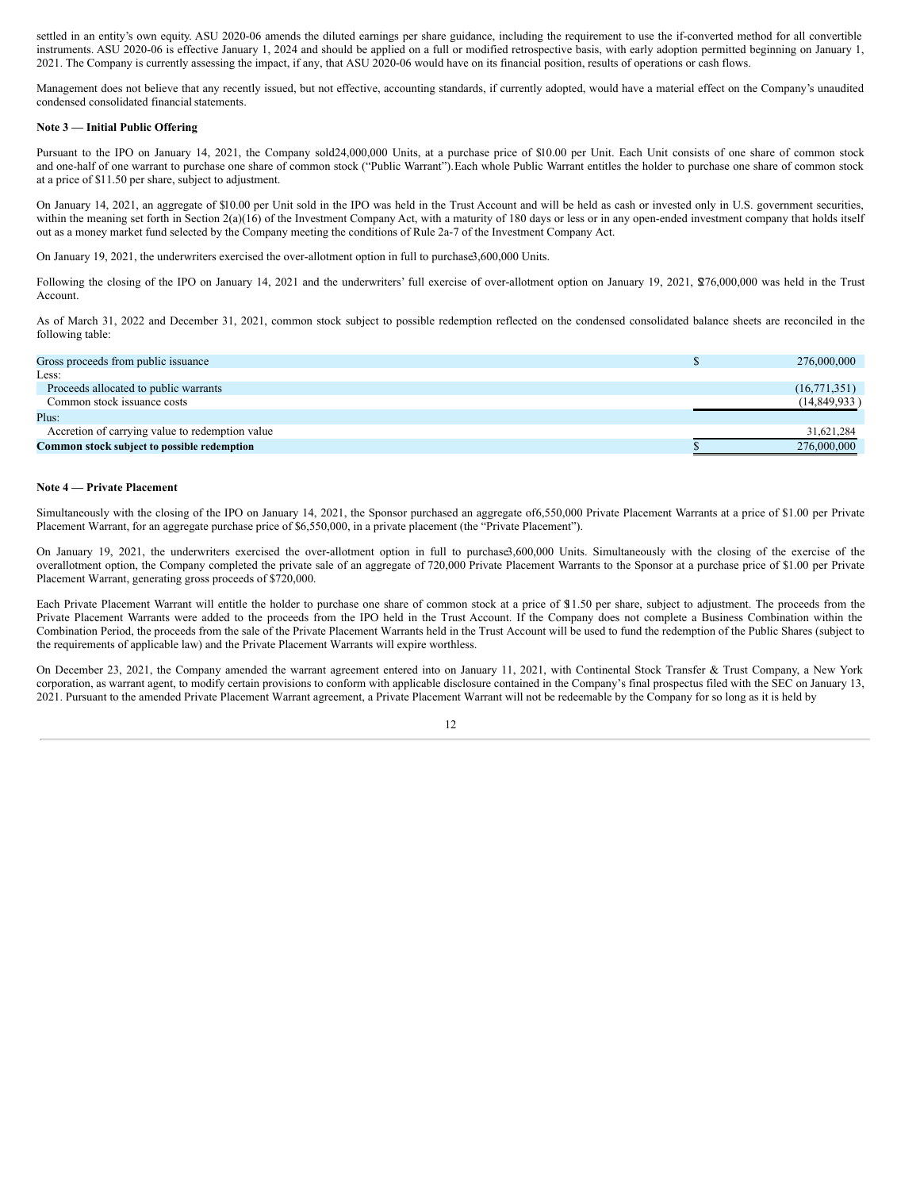settled in an entity's own equity. ASU 2020-06 amends the diluted earnings per share guidance, including the requirement to use the if-converted method for all convertible instruments. ASU 2020-06 is effective January 1, 2024 and should be applied on a full or modified retrospective basis, with early adoption permitted beginning on January 1, 2021. The Company is currently assessing the impact, if any, that ASU 2020-06 would have on its financial position, results of operations or cash flows.

Management does not believe that any recently issued, but not effective, accounting standards, if currently adopted, would have a material effect on the Company's unaudited condensed consolidated financial statements.

#### **Note 3 — Initial Public Offering**

Pursuant to the IPO on January 14, 2021, the Company sold24,000,000 Units, at a purchase price of \$10.00 per Unit. Each Unit consists of one share of common stock and one-half of one warrant to purchase one share of common stock ("Public Warrant").Each whole Public Warrant entitles the holder to purchase one share of common stock at a price of \$11.50 per share, subject to adjustment.

On January 14, 2021, an aggregate of \$10.00 per Unit sold in the IPO was held in the Trust Account and will be held as cash or invested only in U.S. government securities, within the meaning set forth in Section 2(a)(16) of the Investment Company Act, with a maturity of 180 days or less or in any open-ended investment company that holds itself out as a money market fund selected by the Company meeting the conditions of Rule 2a-7 of the Investment Company Act.

On January 19, 2021, the underwriters exercised the over-allotment option in full to purchase3,600,000 Units.

Following the closing of the IPO on January 14, 2021 and the underwriters' full exercise of over-allotment option on January 19, 2021, \$76,000,000 was held in the Trust Account.

As of March 31, 2022 and December 31, 2021, common stock subject to possible redemption reflected on the condensed consolidated balance sheets are reconciled in the following table:

| Gross proceeds from public issuance             | 276,000,000    |
|-------------------------------------------------|----------------|
| Less:                                           |                |
| Proceeds allocated to public warrants           | (16,771,351)   |
| Common stock issuance costs                     | (14, 849, 933) |
| Plus:                                           |                |
| Accretion of carrying value to redemption value | 31,621,284     |
| Common stock subject to possible redemption     | 276,000,000    |

### **Note 4 — Private Placement**

Simultaneously with the closing of the IPO on January 14, 2021, the Sponsor purchased an aggregate of6,550,000 Private Placement Warrants at a price of \$1.00 per Private Placement Warrant, for an aggregate purchase price of \$6,550,000, in a private placement (the "Private Placement").

On January 19, 2021, the underwriters exercised the over-allotment option in full to purchase3,600,000 Units. Simultaneously with the closing of the exercise of the overallotment option, the Company completed the private sale of an aggregate of 720,000 Private Placement Warrants to the Sponsor at a purchase price of \$1.00 per Private Placement Warrant, generating gross proceeds of \$720,000.

Each Private Placement Warrant will entitle the holder to purchase one share of common stock at a price of \$11.50 per share, subject to adjustment. The proceeds from the Private Placement Warrants were added to the proceeds from the IPO held in the Trust Account. If the Company does not complete a Business Combination within the Combination Period, the proceeds from the sale of the Private Placement Warrants held in the Trust Account will be used to fund the redemption of the Public Shares (subject to the requirements of applicable law) and the Private Placement Warrants will expire worthless.

On December 23, 2021, the Company amended the warrant agreement entered into on January 11, 2021, with Continental Stock Transfer & Trust Company, a New York corporation, as warrant agent, to modify certain provisions to conform with applicable disclosure contained in the Company's final prospectus filed with the SEC on January 13, 2021. Pursuant to the amended Private Placement Warrant agreement, a Private Placement Warrant will not be redeemable by the Company for so long as it is held by

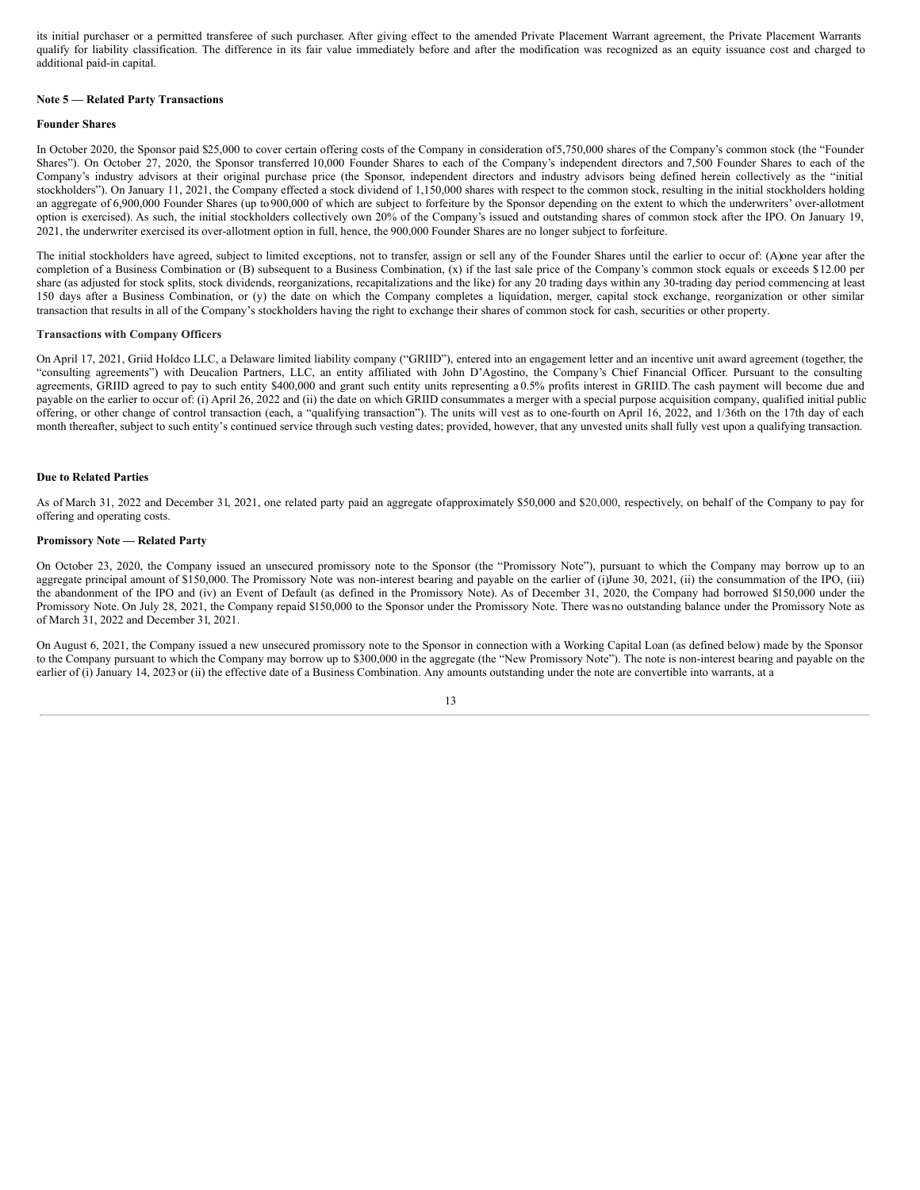its initial purchaser or a permitted transferee of such purchaser. After giving effect to the amended Private Placement Warrant agreement, the Private Placement Warrants qualify for liability classification. The difference in its fair value immediately before and after the modification was recognized as an equity issuance cost and charged to additional paid-in capital.

### **Note 5 — Related Party Transactions**

#### **Founder Shares**

In October 2020, the Sponsor paid \$25,000 to cover certain offering costs of the Company in consideration of5,750,000 shares of the Company's common stock (the "Founder Shares"). On October 27, 2020, the Sponsor transferred 10,000 Founder Shares to each of the Company's independent directors and 7,500 Founder Shares to each of the Company's industry advisors at their original purchase price (the Sponsor, independent directors and industry advisors being defined herein collectively as the "initial stockholders"). On January 11, 2021, the Company effected a stock dividend of 1,150,000 shares with respect to the common stock, resulting in the initial stockholders holding an aggregate of 6,900,000 Founder Shares (up to 900,000 of which are subject to forfeiture by the Sponsor depending on the extent to which the underwriters' over-allotment option is exercised). As such, the initial stockholders collectively own 20% of the Company's issued and outstanding shares of common stock after the IPO. On January 19, 2021, the underwriter exercised its over-allotment option in full, hence, the 900,000 Founder Shares are no longer subject to forfeiture.

The initial stockholders have agreed, subject to limited exceptions, not to transfer, assign or sell any of the Founder Shares until the earlier to occur of: (A)one year after the completion of a Business Combination or (B) subsequent to a Business Combination, (x) if the last sale price of the Company's common stock equals or exceeds \$12.00 per share (as adjusted for stock splits, stock dividends, reorganizations, recapitalizations and the like) for any 20 trading days within any 30-trading day period commencing at least 150 days after a Business Combination, or (y) the date on which the Company completes a liquidation, merger, capital stock exchange, reorganization or other similar transaction that results in all of the Company's stockholders having the right to exchange their shares of common stock for cash, securities or other property.

#### **Transactions with Company Officers**

On April 17, 2021, Griid Holdco LLC, a Delaware limited liability company ("GRIID"), entered into an engagement letter and an incentive unit award agreement (together, the "consulting agreements") with Deucalion Partners, LLC, an entity affiliated with John D'Agostino, the Company's Chief Financial Officer. Pursuant to the consulting agreements, GRIID agreed to pay to such entity \$400,000 and grant such entity units representing a 0.5% profits interest in GRIID.The cash payment will become due and payable on the earlier to occur of: (i) April 26, 2022 and (ii) the date on which GRIID consummates a merger with a special purpose acquisition company, qualified initial public offering, or other change of control transaction (each, a "qualifying transaction"). The units will vest as to one-fourth on April 16, 2022, and 1/36th on the 17th day of each month thereafter, subject to such entity's continued service through such vesting dates; provided, however, that any unvested units shall fully vest upon a qualifying transaction.

#### **Due to Related Parties**

As of March 31, 2022 and December 31, 2021, one related party paid an aggregate ofapproximately \$50,000 and \$20,000, respectively, on behalf of the Company to pay for offering and operating costs.

#### **Promissory Note — Related Party**

On October 23, 2020, the Company issued an unsecured promissory note to the Sponsor (the "Promissory Note"), pursuant to which the Company may borrow up to an aggregate principal amount of \$150,000. The Promissory Note was non-interest bearing and payable on the earlier of (i)June 30, 2021, (ii) the consummation of the IPO, (iii) the abandonment of the IPO and (iv) an Event of Default (as defined in the Promissory Note). As of December 31, 2020, the Company had borrowed \$150,000 under the Promissory Note. On July 28, 2021, the Company repaid \$150,000 to the Sponsor under the Promissory Note. There wasno outstanding balance under the Promissory Note as of March 31, 2022 and December 31, 2021.

On August 6, 2021, the Company issued a new unsecured promissory note to the Sponsor in connection with a Working Capital Loan (as defined below) made by the Sponsor to the Company pursuant to which the Company may borrow up to \$300,000 in the aggregate (the "New Promissory Note"). The note is non-interest bearing and payable on the earlier of (i) January 14, 2023 or (ii) the effective date of a Business Combination. Any amounts outstanding under the note are convertible into warrants, at a

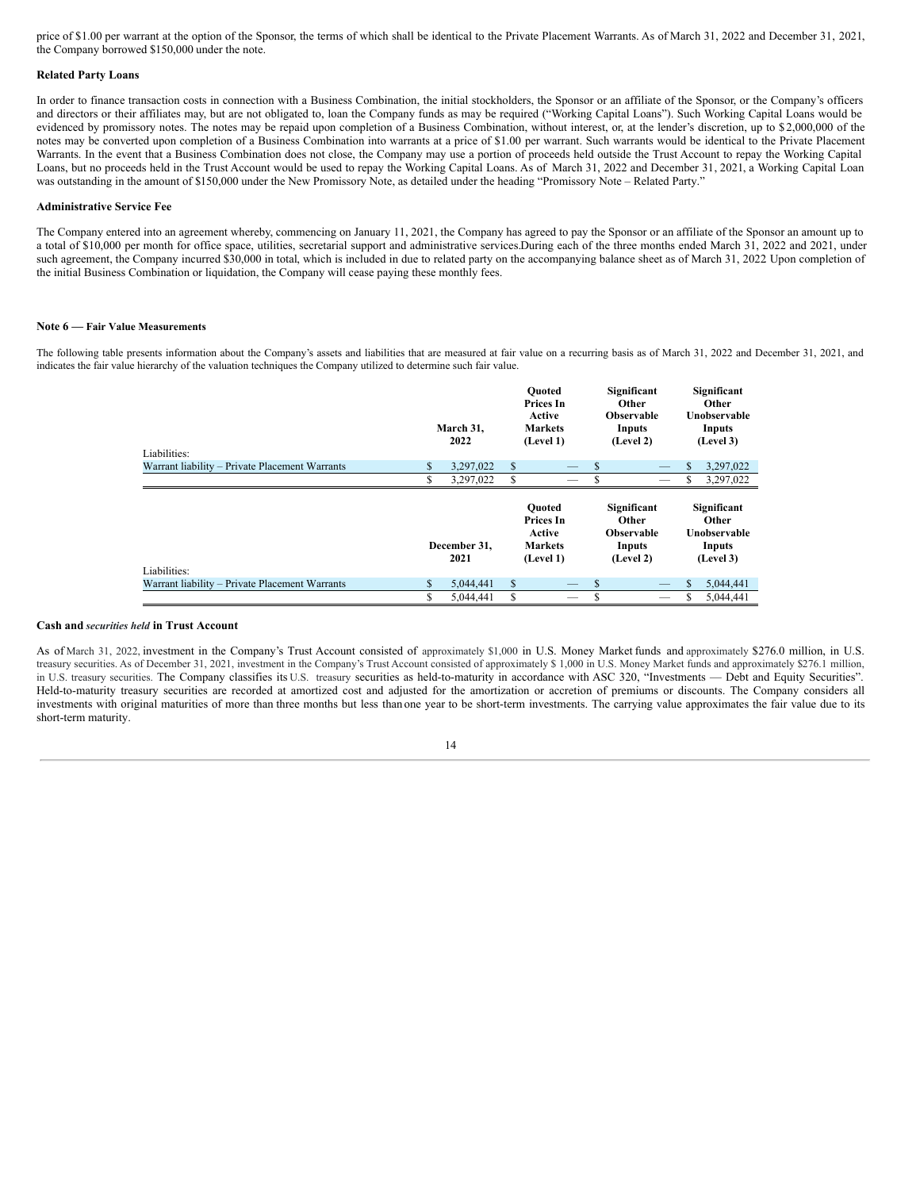price of \$1.00 per warrant at the option of the Sponsor, the terms of which shall be identical to the Private Placement Warrants. As of March 31, 2022 and December 31, 2021, the Company borrowed \$150,000 under the note.

#### **Related Party Loans**

In order to finance transaction costs in connection with a Business Combination, the initial stockholders, the Sponsor or an affiliate of the Sponsor, or the Company's officers and directors or their affiliates may, but are not obligated to, loan the Company funds as may be required ("Working Capital Loans"). Such Working Capital Loans would be evidenced by promissory notes. The notes may be repaid upon completion of a Business Combination, without interest, or, at the lender's discretion, up to \$ 2,000,000 of the notes may be converted upon completion of a Business Combination into warrants at a price of \$1.00 per warrant. Such warrants would be identical to the Private Placement Warrants. In the event that a Business Combination does not close, the Company may use a portion of proceeds held outside the Trust Account to repay the Working Capital Loans, but no proceeds held in the Trust Account would be used to repay the Working Capital Loans. As of March 31, 2022 and December 31, 2021, a Working Capital Loan was outstanding in the amount of \$150,000 under the New Promissory Note, as detailed under the heading "Promissory Note – Related Party."

#### **Administrative Service Fee**

The Company entered into an agreement whereby, commencing on January 11, 2021, the Company has agreed to pay the Sponsor or an affiliate of the Sponsor an amount up to a total of \$10,000 per month for office space, utilities, secretarial support and administrative services.During each of the three months ended March 31, 2022 and 2021, under such agreement, the Company incurred \$30,000 in total, which is included in due to related party on the accompanying balance sheet as of March 31, 2022. Upon completion of the initial Business Combination or liquidation, the Company will cease paying these monthly fees.

### **Note 6 — Fair Value Measurements**

The following table presents information about the Company's assets and liabilities that are measured at fair value on a recurring basis as of March 31, 2022 and December 31, 2021, and indicates the fair value hierarchy of the valuation techniques the Company utilized to determine such fair value.

| Liabilities:                                   | March 31,<br>2022    |    | <b>Ouoted</b><br><b>Prices In</b><br>Active<br><b>Markets</b><br>(Level 1) | Significant<br>Other<br><b>Observable</b><br>Inputs<br>(Level 2) |    | Significant<br>Other<br>Unobservable<br>Inputs<br>(Level 3) |
|------------------------------------------------|----------------------|----|----------------------------------------------------------------------------|------------------------------------------------------------------|----|-------------------------------------------------------------|
| Warrant liability - Private Placement Warrants | \$<br>3,297,022      | S  |                                                                            |                                                                  | S  | 3,297,022                                                   |
|                                                | \$<br>3,297,022      | S  |                                                                            |                                                                  | S. | 3,297,022                                                   |
| Liabilities:                                   | December 31,<br>2021 |    | <b>Ouoted</b><br><b>Prices In</b><br>Active<br><b>Markets</b><br>(Level 1) | Significant<br>Other<br><b>Observable</b><br>Inputs<br>(Level 2) |    | Significant<br>Other<br>Unobservable<br>Inputs<br>(Level 3) |
| Warrant liability - Private Placement Warrants | \$<br>5,044,441      | \$ |                                                                            | \$                                                               | \$ | 5,044,441                                                   |
|                                                |                      |    |                                                                            |                                                                  |    |                                                             |

#### **Cash and** *securities held* **in Trust Account**

As of March 31, 2022, investment in the Company's Trust Account consisted of approximately \$1,000 in U.S. Money Market funds and approximately \$276.0 million, in U.S. treasury securities. As of December 31, 2021, investment in the Company's Trust Account consisted of approximately \$ 1,000 in U.S. Money Market funds and approximately \$276.1 million, in U.S. treasury securities. The Company classifies its U.S. treasury securities as held-to-maturity in accordance with ASC 320, "Investments — Debt and Equity Securities". Held-to-maturity treasury securities are recorded at amortized cost and adjusted for the amortization or accretion of premiums or discounts. The Company considers all investments with original maturities of more than three months but less than one year to be short-term investments. The carrying value approximates the fair value due to its short-term maturity.

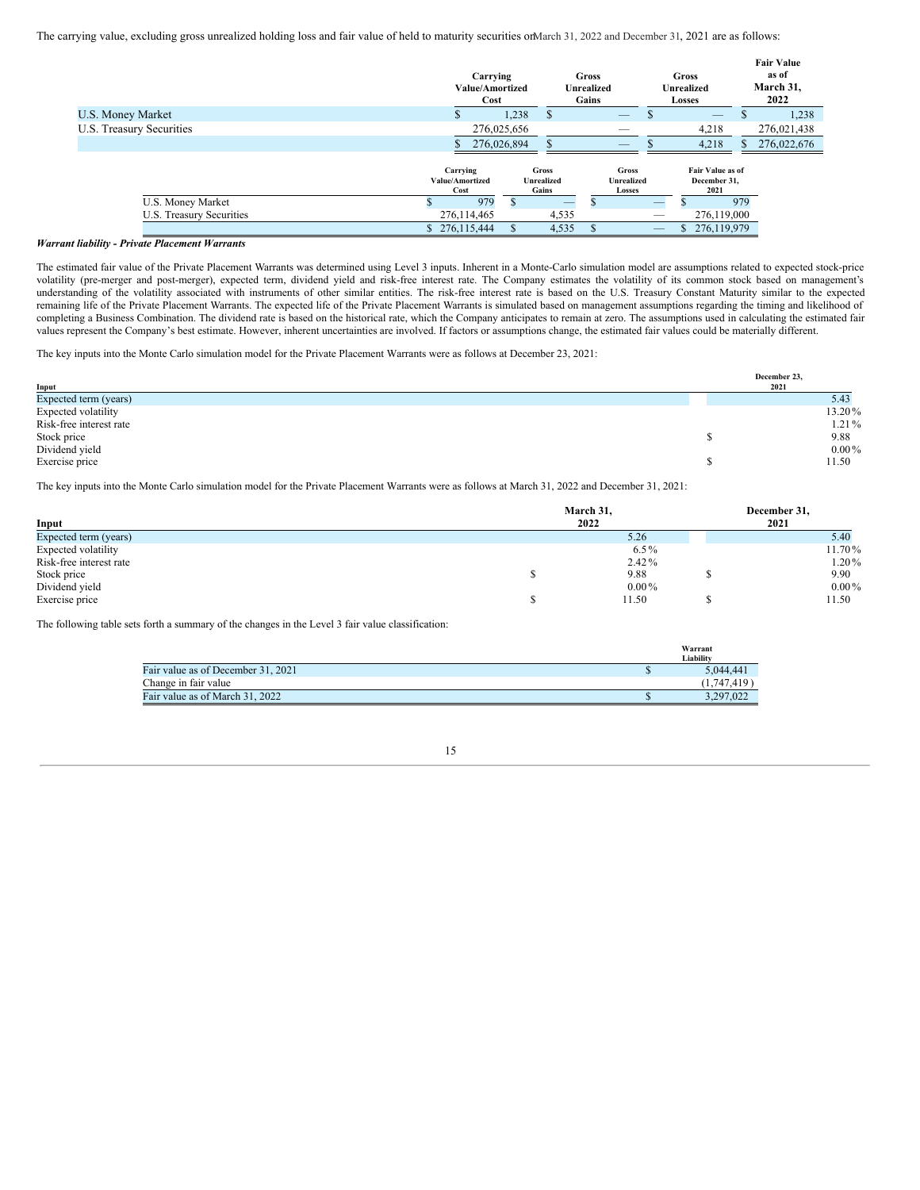The carrying value, excluding gross unrealized holding loss and fair value of held to maturity securities on March 31, 2022 and December 31, 2021 are as follows:

|                          | Carrying<br>Value/Amortized<br>Cost |                                     | <b>Gross</b><br><b>Unrealized</b><br>Gains         | Gross<br><b>Unrealized</b><br><b>Losses</b> | <b>Fair Value</b><br>as of<br>March 31,<br>2022 |
|--------------------------|-------------------------------------|-------------------------------------|----------------------------------------------------|---------------------------------------------|-------------------------------------------------|
| <b>U.S. Money Market</b> | ٠D                                  | 1,238<br><sup>\$</sup>              | $\qquad \qquad -$                                  | $\frac{1}{2}$                               | 1,238                                           |
| U.S. Treasury Securities | 276,025,656                         |                                     |                                                    | 4,218                                       | 276,021,438                                     |
|                          | 276,026,894                         |                                     |                                                    | 4,218                                       | 276,022,676                                     |
|                          | Carrying<br>Value/Amortized<br>Cost | Gross<br><b>Unrealized</b><br>Gains | <b>Gross</b><br><b>Unrealized</b><br><b>Losses</b> | Fair Value as of<br>December 31,<br>2021    |                                                 |
| U.S. Money Market        | 979                                 |                                     | л                                                  |                                             | 979                                             |
| U.S. Treasury Securities | 276,114,465                         | 4,535                               |                                                    | 276,119,000                                 |                                                 |
|                          | \$276,115,444                       | 4,535                               |                                                    | 276,119,979                                 |                                                 |

#### *Warrant liability - Private Placement Warrants*

The estimated fair value of the Private Placement Warrants was determined using Level 3 inputs. Inherent in a Monte-Carlo simulation model are assumptions related to expected stock-price volatility (pre-merger and post-merger), expected term, dividend yield and risk-free interest rate. The Company estimates the volatility of its common stock based on management's understanding of the volatility associated with instruments of other similar entities. The risk-free interest rate is based on the U.S. Treasury Constant Maturity similar to the expected remaining life of the Private Placement Warrants. The expected life of the Private Placement Warrants is simulated based on management assumptions regarding the timing and likelihood of completing a Business Combination. The dividend rate is based on the historical rate, which the Company anticipates to remain at zero. The assumptions used in calculating the estimated fair values represent the Company's best estimate. However, inherent uncertainties are involved. If factors or assumptions change, the estimated fair values could be materially different.

The key inputs into the Monte Carlo simulation model for the Private Placement Warrants were as follows at December 23, 2021:

| December 23,<br>2021 |
|----------------------|
| 5.43                 |
| 13.20%               |
| $1.21\%$             |
| 9.88                 |
| $0.00\%$             |
| 11.50                |
|                      |

The key inputs into the Monte Carlo simulation model for the Private Placement Warrants were as follows at March 31, 2022 and December 31, 2021:

|                         | March 31, | December 31, |
|-------------------------|-----------|--------------|
| Input                   | 2022      | 2021         |
| Expected term (years)   | 5.26      | 5.40         |
| Expected volatility     | $6.5\%$   | 11.70%       |
| Risk-free interest rate | $2.42\%$  | $1.20\%$     |
| Stock price             | 9.88      | 9.90         |
| Dividend yield          | $0.00\%$  | $0.00\%$     |
| Exercise price          | 11.50     | 11.50        |

The following table sets forth a summary of the changes in the Level 3 fair value classification:

|                                    | Warrant     |  |
|------------------------------------|-------------|--|
|                                    | Liability   |  |
| Fair value as of December 31, 2021 | 5.044.441   |  |
| Change in fair value               | (1,747,419) |  |
| Fair value as of March 31, 2022    | 3.297.022   |  |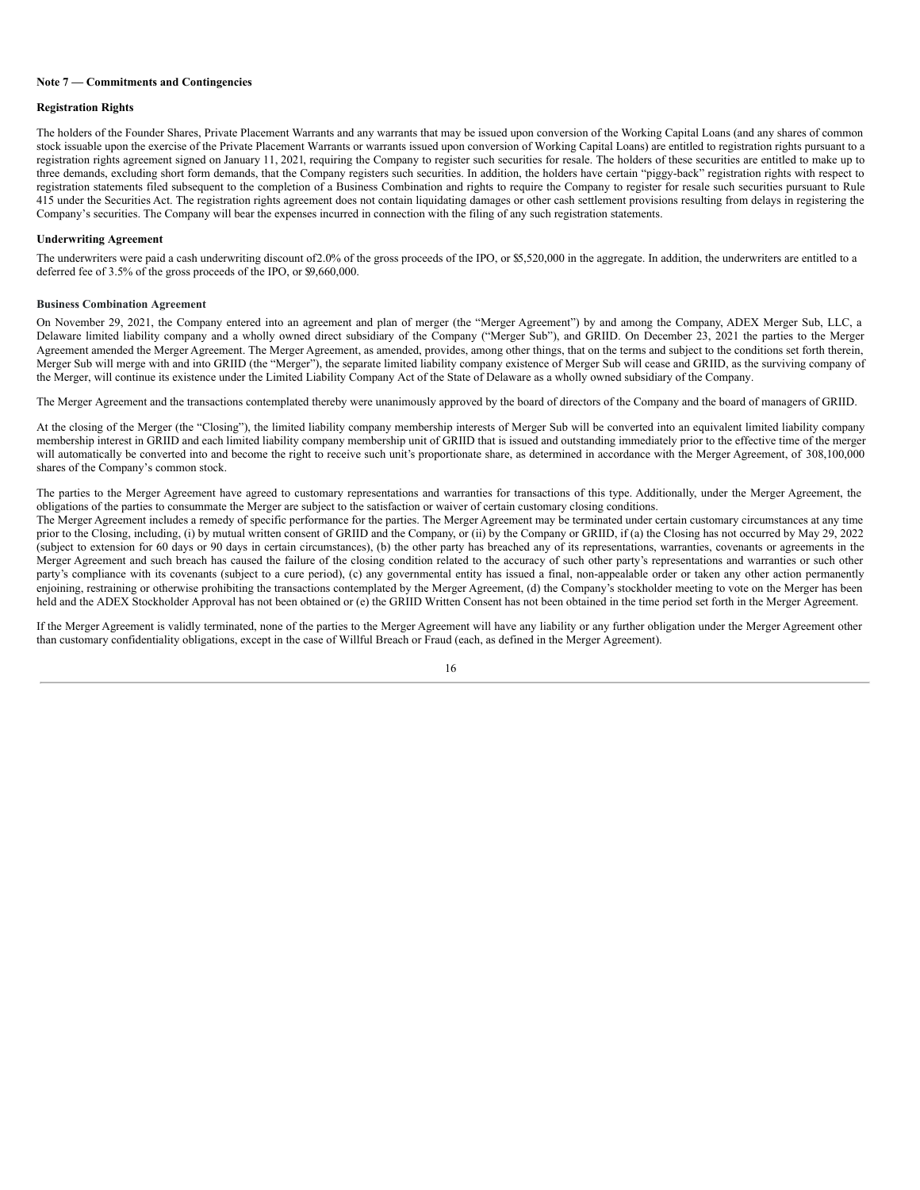#### **Note 7 — Commitments and Contingencies**

### **Registration Rights**

The holders of the Founder Shares, Private Placement Warrants and any warrants that may be issued upon conversion of the Working Capital Loans (and any shares of common stock issuable upon the exercise of the Private Placement Warrants or warrants issued upon conversion of Working Capital Loans) are entitled to registration rights pursuant to a registration rights agreement signed on January 11, 2021, requiring the Company to register such securities for resale. The holders of these securities are entitled to make up to three demands, excluding short form demands, that the Company registers such securities. In addition, the holders have certain "piggy-back" registration rights with respect to registration statements filed subsequent to the completion of a Business Combination and rights to require the Company to register for resale such securities pursuant to Rule 415 under the Securities Act. The registration rights agreement does not contain liquidating damages or other cash settlement provisions resulting from delays in registering the Company's securities. The Company will bear the expenses incurred in connection with the filing of any such registration statements.

#### **Underwriting Agreement**

The underwriters were paid a cash underwriting discount of 2.0% of the gross proceeds of the IPO, or \$5,520,000 in the aggregate. In addition, the underwriters are entitled to a deferred fee of 3.5% of the gross proceeds of the IPO, or \$9,660,000.

#### **Business Combination Agreement**

On November 29, 2021, the Company entered into an agreement and plan of merger (the "Merger Agreement") by and among the Company, ADEX Merger Sub, LLC, a Delaware limited liability company and a wholly owned direct subsidiary of the Company ("Merger Sub"), and GRIID. On December 23, 2021 the parties to the Merger Agreement amended the Merger Agreement. The Merger Agreement, as amended, provides, among other things, that on the terms and subject to the conditions set forth therein, Merger Sub will merge with and into GRIID (the "Merger"), the separate limited liability company existence of Merger Sub will cease and GRIID, as the surviving company of the Merger, will continue its existence under the Limited Liability Company Act of the State of Delaware as a wholly owned subsidiary of the Company.

The Merger Agreement and the transactions contemplated thereby were unanimously approved by the board of directors of the Company and the board of managers of GRIID.

At the closing of the Merger (the "Closing"), the limited liability company membership interests of Merger Sub will be converted into an equivalent limited liability company membership interest in GRIID and each limited liability company membership unit of GRIID that is issued and outstanding immediately prior to the effective time of the merger will automatically be converted into and become the right to receive such unit's proportionate share, as determined in accordance with the Merger Agreement, of 308,100,000 shares of the Company's common stock.

The parties to the Merger Agreement have agreed to customary representations and warranties for transactions of this type. Additionally, under the Merger Agreement, the obligations of the parties to consummate the Merger are subject to the satisfaction or waiver of certain customary closing conditions.

The Merger Agreement includes a remedy of specific performance for the parties. The Merger Agreement may be terminated under certain customary circumstances at any time prior to the Closing, including, (i) by mutual written consent of GRIID and the Company, or (ii) by the Company or GRIID, if (a) the Closing has not occurred by May 29, 2022 (subject to extension for 60 days or 90 days in certain circumstances), (b) the other party has breached any of its representations, warranties, covenants or agreements in the Merger Agreement and such breach has caused the failure of the closing condition related to the accuracy of such other party's representations and warranties or such other party's compliance with its covenants (subject to a cure period), (c) any governmental entity has issued a final, non-appealable order or taken any other action permanently enjoining, restraining or otherwise prohibiting the transactions contemplated by the Merger Agreement, (d) the Company's stockholder meeting to vote on the Merger has been held and the ADEX Stockholder Approval has not been obtained or (e) the GRIID Written Consent has not been obtained in the time period set forth in the Merger Agreement.

If the Merger Agreement is validly terminated, none of the parties to the Merger Agreement will have any liability or any further obligation under the Merger Agreement other than customary confidentiality obligations, except in the case of Willful Breach or Fraud (each, as defined in the Merger Agreement).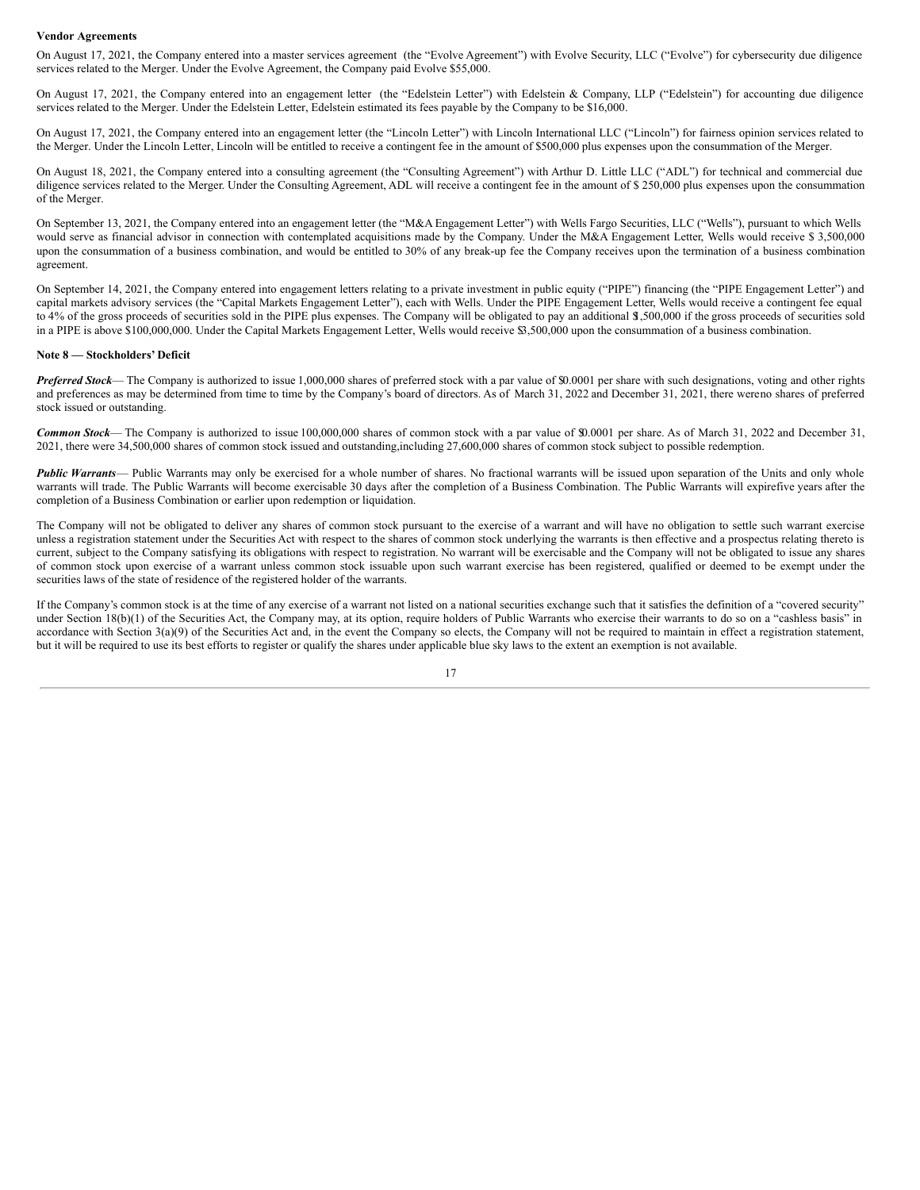#### **Vendor Agreements**

On August 17, 2021, the Company entered into a master services agreement (the "Evolve Agreement") with Evolve Security, LLC ("Evolve") for cybersecurity due diligence services related to the Merger. Under the Evolve Agreement, the Company paid Evolve \$55,000.

On August 17, 2021, the Company entered into an engagement letter (the "Edelstein Letter") with Edelstein & Company, LLP ("Edelstein") for accounting due diligence services related to the Merger. Under the Edelstein Letter, Edelstein estimated its fees payable by the Company to be \$16,000.

On August 17, 2021, the Company entered into an engagement letter (the "Lincoln Letter") with Lincoln International LLC ("Lincoln") for fairness opinion services related to the Merger. Under the Lincoln Letter, Lincoln will be entitled to receive a contingent fee in the amount of \$500,000 plus expenses upon the consummation of the Merger.

On August 18, 2021, the Company entered into a consulting agreement (the "Consulting Agreement") with Arthur D. Little LLC ("ADL") for technical and commercial due diligence services related to the Merger. Under the Consulting Agreement, ADL will receive a contingent fee in the amount of \$ 250,000 plus expenses upon the consummation of the Merger.

On September 13, 2021, the Company entered into an engagement letter (the "M&A Engagement Letter") with Wells Fargo Securities, LLC ("Wells"), pursuant to which Wells would serve as financial advisor in connection with contemplated acquisitions made by the Company. Under the M&A Engagement Letter, Wells would receive \$ 3,500,000 upon the consummation of a business combination, and would be entitled to 30% of any break-up fee the Company receives upon the termination of a business combination agreement.

On September 14, 2021, the Company entered into engagement letters relating to a private investment in public equity ("PIPE") financing (the "PIPE Engagement Letter") and capital markets advisory services (the "Capital Markets Engagement Letter"), each with Wells. Under the PIPE Engagement Letter, Wells would receive a contingent fee equal to 4% of the gross proceeds of securities sold in the PIPE plus expenses. The Company will be obligated to pay an additional \$1,500,000 if the gross proceeds of securities sold in a PIPE is above \$100,000,000. Under the Capital Markets Engagement Letter, Wells would receive \$3,500,000 upon the consummation of a business combination.

#### **Note 8 — Stockholders' Deficit**

*Preferred Stock*— The Company is authorized to issue 1,000,000 shares of preferred stock with a par value of \$0.0001 per share with such designations, voting and other rights and preferences as may be determined from time to time by the Company's board of directors. As of March 31, 2022 and December 31, 2021, there wereno shares of preferred stock issued or outstanding.

*Common Stock*— The Company is authorized to issue 100,000,000 shares of common stock with a par value of \$0.0001 per share. As of March 31, 2022 and December 31, 2021, there were 34,500,000 shares of common stock issued and outstanding,including 27,600,000 shares of common stock subject to possible redemption.

*Public Warrants*— Public Warrants may only be exercised for a whole number of shares. No fractional warrants will be issued upon separation of the Units and only whole warrants will trade. The Public Warrants will become exercisable 30 days after the completion of a Business Combination. The Public Warrants will expirefive years after the completion of a Business Combination or earlier upon redemption or liquidation.

The Company will not be obligated to deliver any shares of common stock pursuant to the exercise of a warrant and will have no obligation to settle such warrant exercise unless a registration statement under the Securities Act with respect to the shares of common stock underlying the warrants is then effective and a prospectus relating thereto is current, subject to the Company satisfying its obligations with respect to registration. No warrant will be exercisable and the Company will not be obligated to issue any shares of common stock upon exercise of a warrant unless common stock issuable upon such warrant exercise has been registered, qualified or deemed to be exempt under the securities laws of the state of residence of the registered holder of the warrants.

If the Company's common stock is at the time of any exercise of a warrant not listed on a national securities exchange such that it satisfies the definition of a "covered security" under Section 18(b)(1) of the Securities Act, the Company may, at its option, require holders of Public Warrants who exercise their warrants to do so on a "cashless basis" in accordance with Section 3(a)(9) of the Securities Act and, in the event the Company so elects, the Company will not be required to maintain in effect a registration statement, but it will be required to use its best efforts to register or qualify the shares under applicable blue sky laws to the extent an exemption is not available.

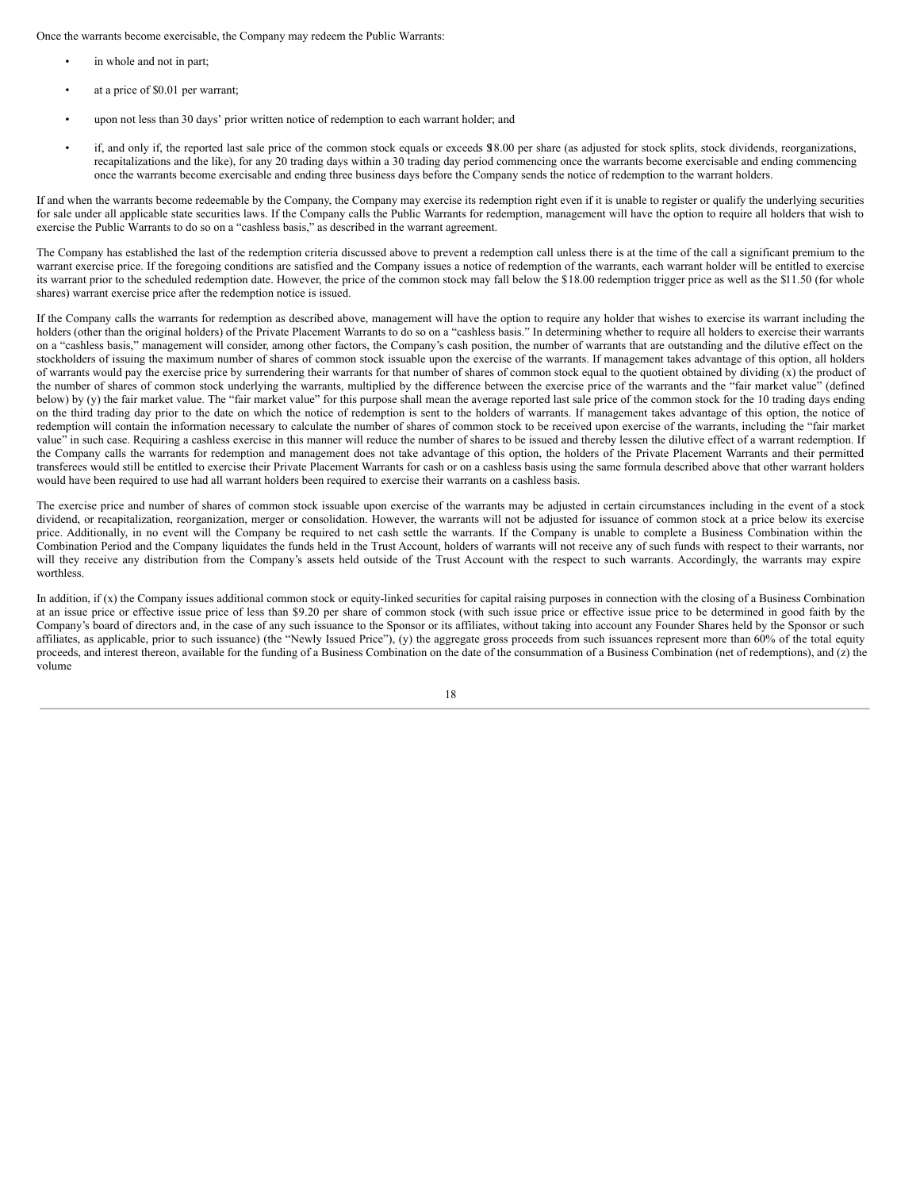Once the warrants become exercisable, the Company may redeem the Public Warrants:

- in whole and not in part:
- at a price of \$0.01 per warrant;
- upon not less than 30 days' prior written notice of redemption to each warrant holder; and
- if, and only if, the reported last sale price of the common stock equals or exceeds \$18.00 per share (as adjusted for stock splits, stock dividends, reorganizations, recapitalizations and the like), for any 20 trading days within a 30 trading day period commencing once the warrants become exercisable and ending commencing once the warrants become exercisable and ending three business days before the Company sends the notice of redemption to the warrant holders.

If and when the warrants become redeemable by the Company, the Company may exercise its redemption right even if it is unable to register or qualify the underlying securities for sale under all applicable state securities laws. If the Company calls the Public Warrants for redemption, management will have the option to require all holders that wish to exercise the Public Warrants to do so on a "cashless basis," as described in the warrant agreement.

The Company has established the last of the redemption criteria discussed above to prevent a redemption call unless there is at the time of the call a significant premium to the warrant exercise price. If the foregoing conditions are satisfied and the Company issues a notice of redemption of the warrants, each warrant holder will be entitled to exercise its warrant prior to the scheduled redemption date. However, the price of the common stock may fall below the \$18.00 redemption trigger price as well as the \$11.50 (for whole shares) warrant exercise price after the redemption notice is issued.

If the Company calls the warrants for redemption as described above, management will have the option to require any holder that wishes to exercise its warrant including the holders (other than the original holders) of the Private Placement Warrants to do so on a "cashless basis." In determining whether to require all holders to exercise their warrants on a "cashless basis," management will consider, among other factors, the Company's cash position, the number of warrants that are outstanding and the dilutive effect on the stockholders of issuing the maximum number of shares of common stock issuable upon the exercise of the warrants. If management takes advantage of this option, all holders of warrants would pay the exercise price by surrendering their warrants for that number of shares of common stock equal to the quotient obtained by dividing (x) the product of the number of shares of common stock underlying the warrants, multiplied by the difference between the exercise price of the warrants and the "fair market value" (defined below) by (y) the fair market value. The "fair market value" for this purpose shall mean the average reported last sale price of the common stock for the 10 trading days ending on the third trading day prior to the date on which the notice of redemption is sent to the holders of warrants. If management takes advantage of this option, the notice of redemption will contain the information necessary to calculate the number of shares of common stock to be received upon exercise of the warrants, including the "fair market value" in such case. Requiring a cashless exercise in this manner will reduce the number of shares to be issued and thereby lessen the dilutive effect of a warrant redemption. If the Company calls the warrants for redemption and management does not take advantage of this option, the holders of the Private Placement Warrants and their permitted transferees would still be entitled to exercise their Private Placement Warrants for cash or on a cashless basis using the same formula described above that other warrant holders would have been required to use had all warrant holders been required to exercise their warrants on a cashless basis.

The exercise price and number of shares of common stock issuable upon exercise of the warrants may be adjusted in certain circumstances including in the event of a stock dividend, or recapitalization, reorganization, merger or consolidation. However, the warrants will not be adjusted for issuance of common stock at a price below its exercise price. Additionally, in no event will the Company be required to net cash settle the warrants. If the Company is unable to complete a Business Combination within the Combination Period and the Company liquidates the funds held in the Trust Account, holders of warrants will not receive any of such funds with respect to their warrants, nor will they receive any distribution from the Company's assets held outside of the Trust Account with the respect to such warrants. Accordingly, the warrants may expire worthless.

In addition, if  $(x)$  the Company issues additional common stock or equity-linked securities for capital raising purposes in connection with the closing of a Business Combination at an issue price or effective issue price of less than \$9.20 per share of common stock (with such issue price or effective issue price to be determined in good faith by the Company's board of directors and, in the case of any such issuance to the Sponsor or its affiliates, without taking into account any Founder Shares held by the Sponsor or such affiliates, as applicable, prior to such issuance) (the "Newly Issued Price"), (y) the aggregate gross proceeds from such issuances represent more than 60% of the total equity proceeds, and interest thereon, available for the funding of a Business Combination on the date of the consummation of a Business Combination (net of redemptions), and (z) the volume

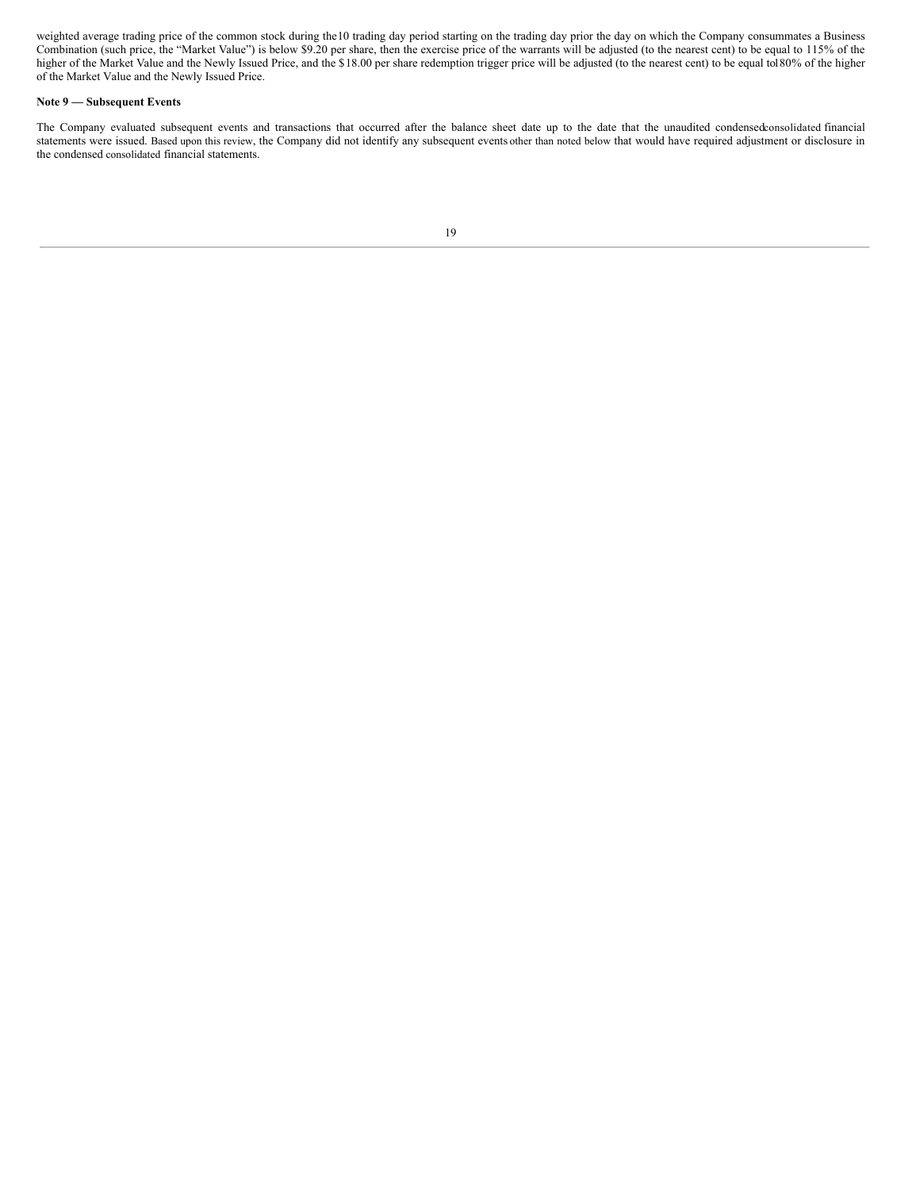weighted average trading price of the common stock during the10 trading day period starting on the trading day prior the day on which the Company consummates a Business Combination (such price, the "Market Value") is below \$9.20 per share, then the exercise price of the warrants will be adjusted (to the nearest cent) to be equal to 115% of the higher of the Market Value and the Newly Issued Price, and the \$18.00 per share redemption trigger price will be adjusted (to the nearest cent) to be equal tol 80% of the higher of the Market Value and the Newly Issued Price.

### **Note 9 — Subsequent Events**

The Company evaluated subsequent events and transactions that occurred after the balance sheet date up to the date that the unaudited condensedconsolidated financial statements were issued. Based upon this review, the Company did not identify any subsequent eventsother than noted below that would have required adjustment or disclosure in the condensed consolidated financial statements.

| ×<br>¢<br>۰.<br>۰, |
|--------------------|
| ٧                  |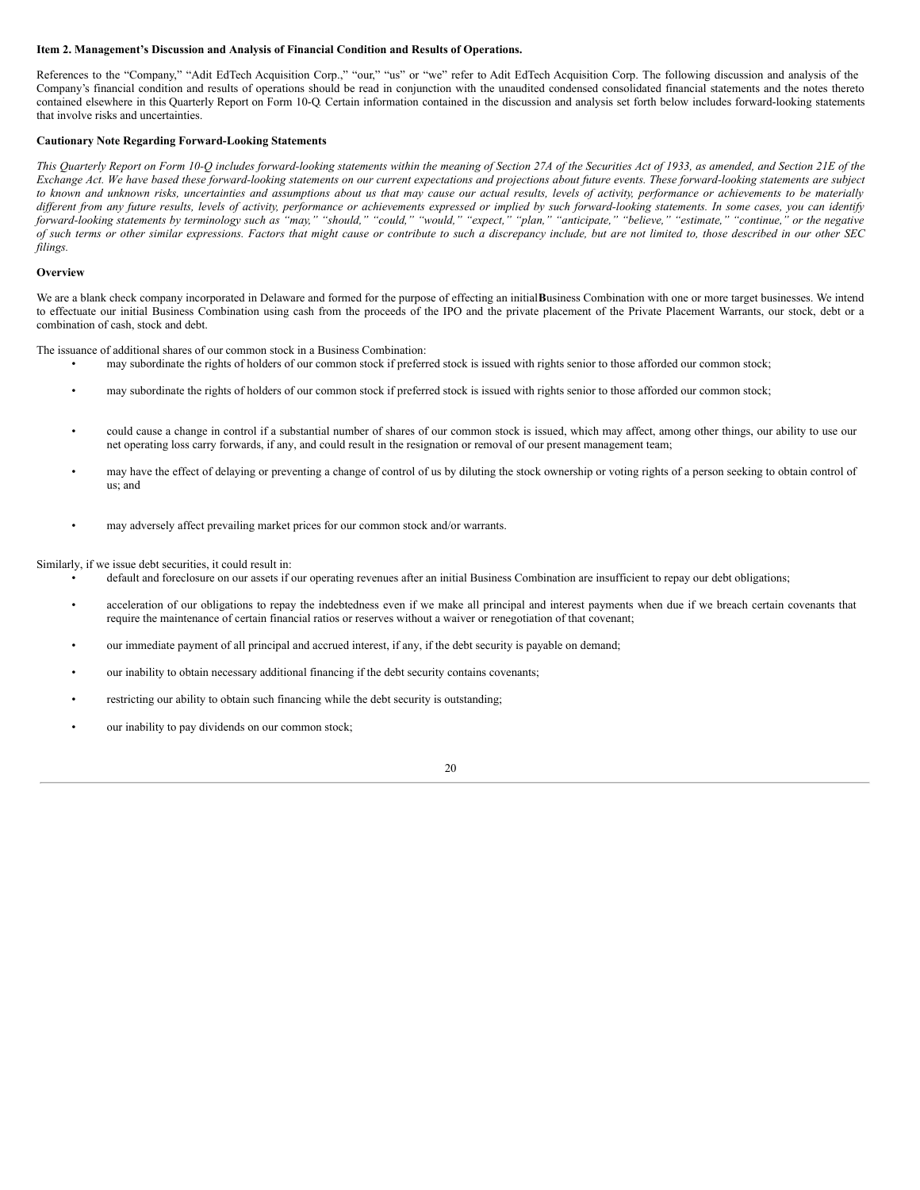#### <span id="page-21-0"></span>**Item 2. Management's Discussion and Analysis of Financial Condition and Results of Operations.**

References to the "Company," "Adit EdTech Acquisition Corp.," "our," "us" or "we" refer to Adit EdTech Acquisition Corp. The following discussion and analysis of the Company's financial condition and results of operations should be read in conjunction with the unaudited condensed consolidated financial statements and the notes thereto contained elsewhere in this Quarterly Report on Form 10-Q. Certain information contained in the discussion and analysis set forth below includes forward-looking statements that involve risks and uncertainties.

### **Cautionary Note Regarding Forward-Looking Statements**

This Quarterly Report on Form 10-Q includes forward-looking statements within the meaning of Section 27A of the Securities Act of 1933, as amended, and Section 21E of the Exchange Act. We have based these forward-looking statements on our current expectations and projections about future events. These forward-looking statements are subject to known and unknown risks, uncertainties and assumptions about us that may cause our actual results, levels of activity, performance or achievements to be materially different from any future results, levels of activity, performance or achievements expressed or implied by such forward-looking statements. In some cases, you can identify forward-looking statements by terminology such as "may," "should," "could," "would," "expect," "plan," "anticipate," "believe," "estimate," "continue," or the negative of such terms or other similar expressions. Factors that might cause or contribute to such a discrepancy include, but are not limited to, those described in our other SEC *filings.*

#### **Overview**

We are a blank check company incorporated in Delaware and formed for the purpose of effecting an initial**B**usiness Combination with one or more target businesses. We intend to effectuate our initial Business Combination using cash from the proceeds of the IPO and the private placement of the Private Placement Warrants, our stock, debt or a combination of cash, stock and debt.

The issuance of additional shares of our common stock in a Business Combination:

- may subordinate the rights of holders of our common stock if preferred stock is issued with rights senior to those afforded our common stock;
	- may subordinate the rights of holders of our common stock if preferred stock is issued with rights senior to those afforded our common stock;
	- could cause a change in control if a substantial number of shares of our common stock is issued, which may affect, among other things, our ability to use our net operating loss carry forwards, if any, and could result in the resignation or removal of our present management team;
	- may have the effect of delaying or preventing a change of control of us by diluting the stock ownership or voting rights of a person seeking to obtain control of us; and
	- may adversely affect prevailing market prices for our common stock and/or warrants.

Similarly, if we issue debt securities, it could result in:

- default and foreclosure on our assets if our operating revenues after an initial Business Combination are insufficient to repay our debt obligations;
- acceleration of our obligations to repay the indebtedness even if we make all principal and interest payments when due if we breach certain covenants that require the maintenance of certain financial ratios or reserves without a waiver or renegotiation of that covenant;
- our immediate payment of all principal and accrued interest, if any, if the debt security is payable on demand;
- our inability to obtain necessary additional financing if the debt security contains covenants;
- restricting our ability to obtain such financing while the debt security is outstanding;
- our inability to pay dividends on our common stock;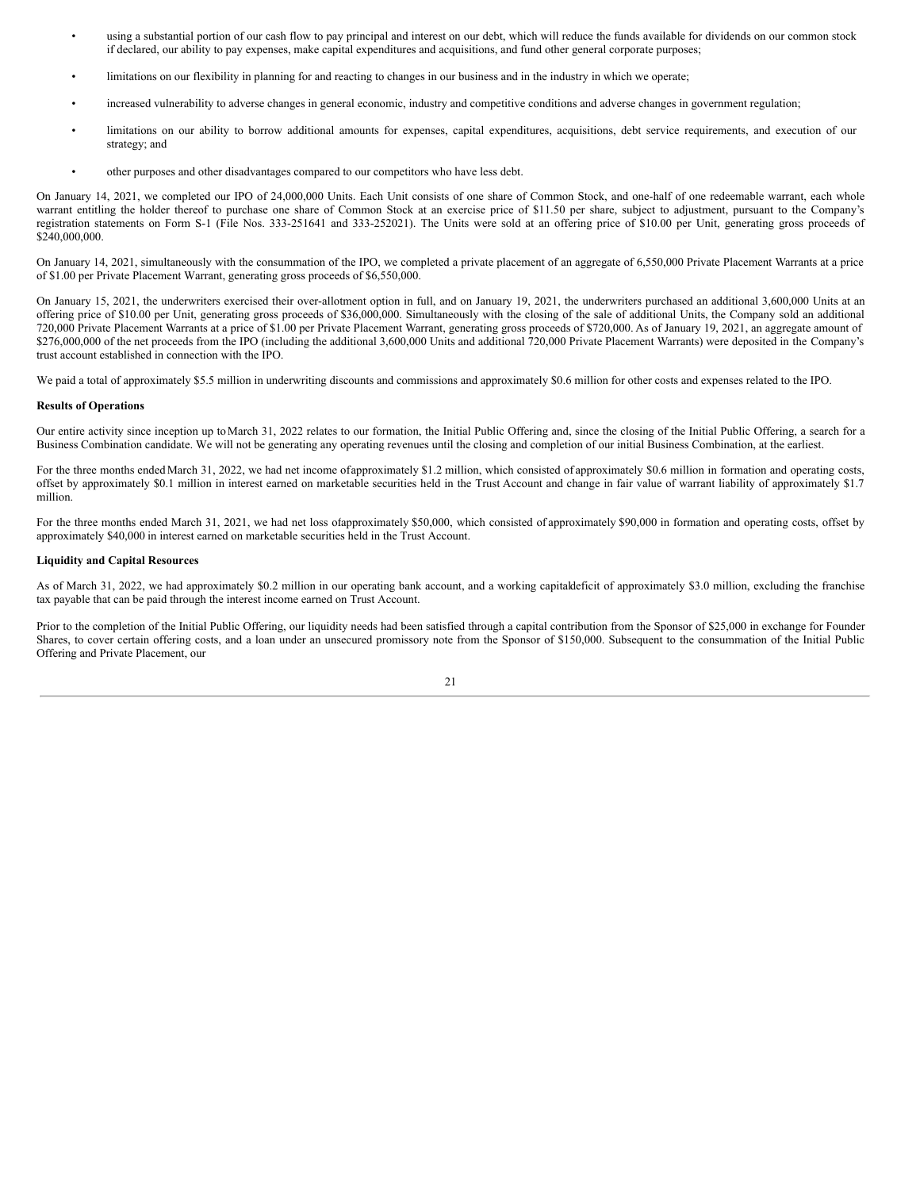- using a substantial portion of our cash flow to pay principal and interest on our debt, which will reduce the funds available for dividends on our common stock if declared, our ability to pay expenses, make capital expenditures and acquisitions, and fund other general corporate purposes;
- limitations on our flexibility in planning for and reacting to changes in our business and in the industry in which we operate;
- increased vulnerability to adverse changes in general economic, industry and competitive conditions and adverse changes in government regulation;
- limitations on our ability to borrow additional amounts for expenses, capital expenditures, acquisitions, debt service requirements, and execution of our strategy; and
- other purposes and other disadvantages compared to our competitors who have less debt.

On January 14, 2021, we completed our IPO of 24,000,000 Units. Each Unit consists of one share of Common Stock, and one-half of one redeemable warrant, each whole warrant entitling the holder thereof to purchase one share of Common Stock at an exercise price of \$11.50 per share, subject to adjustment, pursuant to the Company's registration statements on Form S-1 (File Nos. 333-251641 and 333-252021). The Units were sold at an offering price of \$10.00 per Unit, generating gross proceeds of \$240,000,000.

On January 14, 2021, simultaneously with the consummation of the IPO, we completed a private placement of an aggregate of 6,550,000 Private Placement Warrants at a price of \$1.00 per Private Placement Warrant, generating gross proceeds of \$6,550,000.

On January 15, 2021, the underwriters exercised their over-allotment option in full, and on January 19, 2021, the underwriters purchased an additional 3,600,000 Units at an offering price of \$10.00 per Unit, generating gross proceeds of \$36,000,000. Simultaneously with the closing of the sale of additional Units, the Company sold an additional 720,000 Private Placement Warrants at a price of \$1.00 per Private Placement Warrant, generating gross proceeds of \$720,000. As of January 19, 2021, an aggregate amount of \$276,000,000 of the net proceeds from the IPO (including the additional 3,600,000 Units and additional 720,000 Private Placement Warrants) were deposited in the Company's trust account established in connection with the IPO.

We paid a total of approximately \$5.5 million in underwriting discounts and commissions and approximately \$0.6 million for other costs and expenses related to the IPO.

#### **Results of Operations**

Our entire activity since inception up toMarch 31, 2022 relates to our formation, the Initial Public Offering and, since the closing of the Initial Public Offering, a search for a Business Combination candidate. We will not be generating any operating revenues until the closing and completion of our initial Business Combination, at the earliest.

For the three months ended March 31, 2022, we had net income of approximately \$1.2 million, which consisted of approximately \$0.6 million in formation and operating costs, offset by approximately \$0.1 million in interest earned on marketable securities held in the Trust Account and change in fair value of warrant liability of approximately \$1.7 million.

For the three months ended March 31, 2021, we had net loss ofapproximately \$50,000, which consisted of approximately \$90,000 in formation and operating costs, offset by approximately \$40,000 in interest earned on marketable securities held in the Trust Account.

### **Liquidity and Capital Resources**

As of March 31, 2022, we had approximately \$0.2 million in our operating bank account, and a working capitaldeficit of approximately \$3.0 million, excluding the franchise tax payable that can be paid through the interest income earned on Trust Account.

Prior to the completion of the Initial Public Offering, our liquidity needs had been satisfied through a capital contribution from the Sponsor of \$25,000 in exchange for Founder Shares, to cover certain offering costs, and a loan under an unsecured promissory note from the Sponsor of \$150,000. Subsequent to the consummation of the Initial Public Offering and Private Placement, our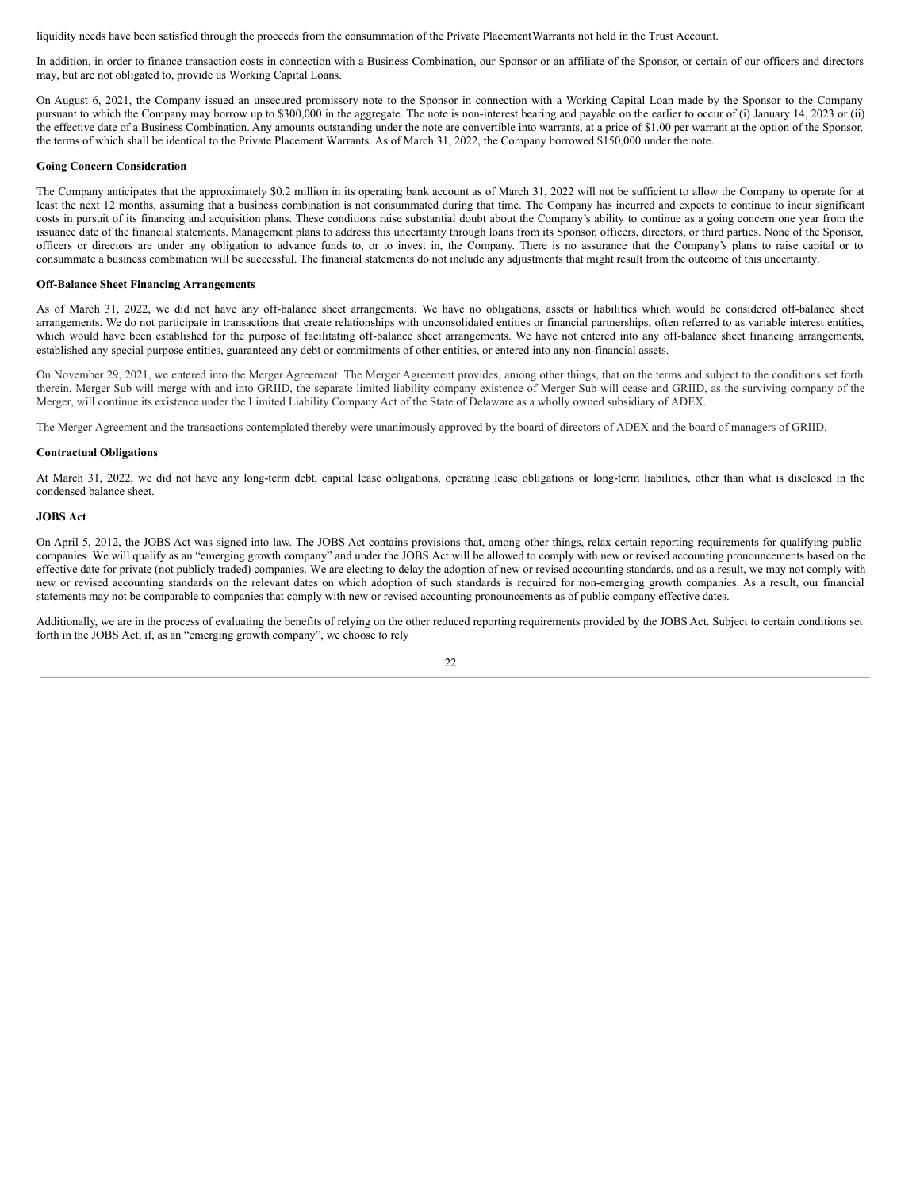liquidity needs have been satisfied through the proceeds from the consummation of the Private PlacementWarrants not held in the Trust Account.

In addition, in order to finance transaction costs in connection with a Business Combination, our Sponsor or an affiliate of the Sponsor, or certain of our officers and directors may, but are not obligated to, provide us Working Capital Loans.

On August 6, 2021, the Company issued an unsecured promissory note to the Sponsor in connection with a Working Capital Loan made by the Sponsor to the Company pursuant to which the Company may borrow up to \$300,000 in the aggregate. The note is non-interest bearing and payable on the earlier to occur of (i) January 14, 2023 or (ii) the effective date of a Business Combination. Any amounts outstanding under the note are convertible into warrants, at a price of \$1.00 per warrant at the option of the Sponsor, the terms of which shall be identical to the Private Placement Warrants. As of March 31, 2022, the Company borrowed \$150,000 under the note.

#### **Going Concern Consideration**

The Company anticipates that the approximately \$0.2 million in its operating bank account as of March 31, 2022 will not be sufficient to allow the Company to operate for at least the next 12 months, assuming that a business combination is not consummated during that time. The Company has incurred and expects to continue to incur significant costs in pursuit of its financing and acquisition plans. These conditions raise substantial doubt about the Company's ability to continue as a going concern one year from the issuance date of the financial statements. Management plans to address this uncertainty through loans from its Sponsor, officers, directors, or third parties. None of the Sponsor, officers or directors are under any obligation to advance funds to, or to invest in, the Company. There is no assurance that the Company's plans to raise capital or to consummate a business combination will be successful. The financial statements do not include any adjustments that might result from the outcome of this uncertainty.

#### **Off-Balance Sheet Financing Arrangements**

As of March 31, 2022, we did not have any off-balance sheet arrangements. We have no obligations, assets or liabilities which would be considered off-balance sheet arrangements. We do not participate in transactions that create relationships with unconsolidated entities or financial partnerships, often referred to as variable interest entities, which would have been established for the purpose of facilitating off-balance sheet arrangements. We have not entered into any off-balance sheet financing arrangements, established any special purpose entities, guaranteed any debt or commitments of other entities, or entered into any non-financial assets.

On November 29, 2021, we entered into the Merger Agreement. The Merger Agreement provides, among other things, that on the terms and subject to the conditions set forth therein, Merger Sub will merge with and into GRIID, the separate limited liability company existence of Merger Sub will cease and GRIID, as the surviving company of the Merger, will continue its existence under the Limited Liability Company Act of the State of Delaware as a wholly owned subsidiary of ADEX.

The Merger Agreement and the transactions contemplated thereby were unanimously approved by the board of directors of ADEX and the board of managers of GRIID.

### **Contractual Obligations**

At March 31, 2022, we did not have any long-term debt, capital lease obligations, operating lease obligations or long-term liabilities, other than what is disclosed in the condensed balance sheet.

#### **JOBS Act**

On April 5, 2012, the JOBS Act was signed into law. The JOBS Act contains provisions that, among other things, relax certain reporting requirements for qualifying public companies. We will qualify as an "emerging growth company" and under the JOBS Act will be allowed to comply with new or revised accounting pronouncements based on the effective date for private (not publicly traded) companies. We are electing to delay the adoption of new or revised accounting standards, and as a result, we may not comply with new or revised accounting standards on the relevant dates on which adoption of such standards is required for non-emerging growth companies. As a result, our financial statements may not be comparable to companies that comply with new or revised accounting pronouncements as of public company effective dates.

Additionally, we are in the process of evaluating the benefits of relying on the other reduced reporting requirements provided by the JOBS Act. Subject to certain conditions set forth in the JOBS Act, if, as an "emerging growth company", we choose to rely

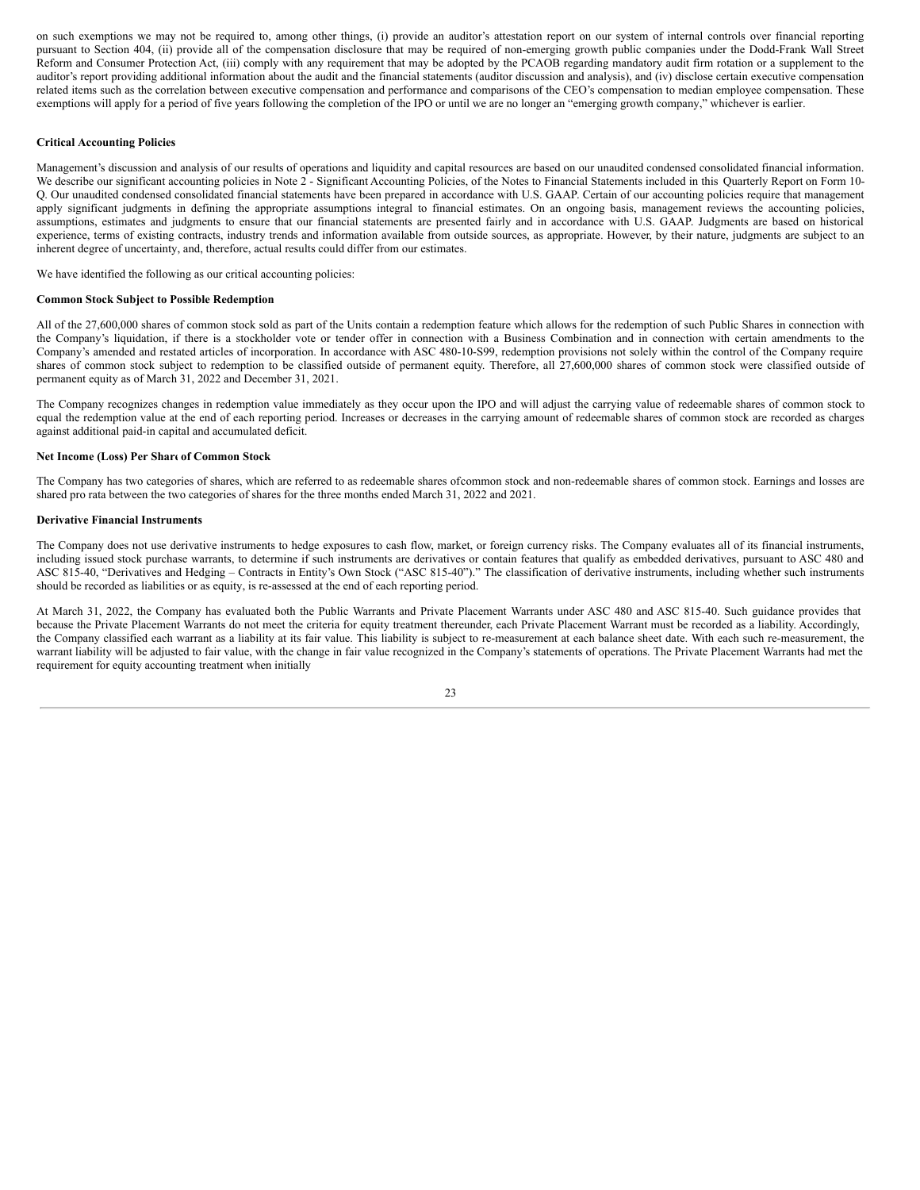on such exemptions we may not be required to, among other things, (i) provide an auditor's attestation report on our system of internal controls over financial reporting pursuant to Section 404, (ii) provide all of the compensation disclosure that may be required of non-emerging growth public companies under the Dodd-Frank Wall Street Reform and Consumer Protection Act, (iii) comply with any requirement that may be adopted by the PCAOB regarding mandatory audit firm rotation or a supplement to the auditor's report providing additional information about the audit and the financial statements (auditor discussion and analysis), and (iv) disclose certain executive compensation related items such as the correlation between executive compensation and performance and comparisons of the CEO's compensation to median employee compensation. These exemptions will apply for a period of five years following the completion of the IPO or until we are no longer an "emerging growth company," whichever is earlier.

### **Critical Accounting Policies**

Management's discussion and analysis of our results of operations and liquidity and capital resources are based on our unaudited condensed consolidated financial information. We describe our significant accounting policies in Note 2 - Significant Accounting Policies, of the Notes to Financial Statements included in this Quarterly Report on Form 10-Q. Our unaudited condensed consolidated financial statements have been prepared in accordance with U.S. GAAP. Certain of our accounting policies require that management apply significant judgments in defining the appropriate assumptions integral to financial estimates. On an ongoing basis, management reviews the accounting policies, assumptions, estimates and judgments to ensure that our financial statements are presented fairly and in accordance with U.S. GAAP. Judgments are based on historical experience, terms of existing contracts, industry trends and information available from outside sources, as appropriate. However, by their nature, judgments are subject to an inherent degree of uncertainty, and, therefore, actual results could differ from our estimates.

We have identified the following as our critical accounting policies:

#### **Common Stock Subject to Possible Redemption**

All of the 27,600,000 shares of common stock sold as part of the Units contain a redemption feature which allows for the redemption of such Public Shares in connection with the Company's liquidation, if there is a stockholder vote or tender offer in connection with a Business Combination and in connection with certain amendments to the Company's amended and restated articles of incorporation. In accordance with ASC 480-10-S99, redemption provisions not solely within the control of the Company require shares of common stock subject to redemption to be classified outside of permanent equity. Therefore, all 27,600,000 shares of common stock were classified outside of permanent equity as of March 31, 2022 and December 31, 2021.

The Company recognizes changes in redemption value immediately as they occur upon the IPO and will adjust the carrying value of redeemable shares of common stock to equal the redemption value at the end of each reporting period. Increases or decreases in the carrying amount of redeemable shares of common stock are recorded as charges against additional paid-in capital and accumulated deficit.

### **Net Income (Loss) Per Shareof Common Stock**

The Company has two categories of shares, which are referred to as redeemable shares ofcommon stock and non-redeemable shares of common stock. Earnings and losses are shared pro rata between the two categories of shares for the three months ended March 31, 2022 and 2021.

### **Derivative Financial Instruments**

The Company does not use derivative instruments to hedge exposures to cash flow, market, or foreign currency risks. The Company evaluates all of its financial instruments, including issued stock purchase warrants, to determine if such instruments are derivatives or contain features that qualify as embedded derivatives, pursuant to ASC 480 and ASC 815-40, "Derivatives and Hedging – Contracts in Entity's Own Stock ("ASC 815-40")." The classification of derivative instruments, including whether such instruments should be recorded as liabilities or as equity, is re-assessed at the end of each reporting period.

At March 31, 2022, the Company has evaluated both the Public Warrants and Private Placement Warrants under ASC 480 and ASC 815-40. Such guidance provides that because the Private Placement Warrants do not meet the criteria for equity treatment thereunder, each Private Placement Warrant must be recorded as a liability. Accordingly, the Company classified each warrant as a liability at its fair value. This liability is subject to re-measurement at each balance sheet date. With each such re-measurement, the warrant liability will be adjusted to fair value, with the change in fair value recognized in the Company's statements of operations. The Private Placement Warrants had met the requirement for equity accounting treatment when initially

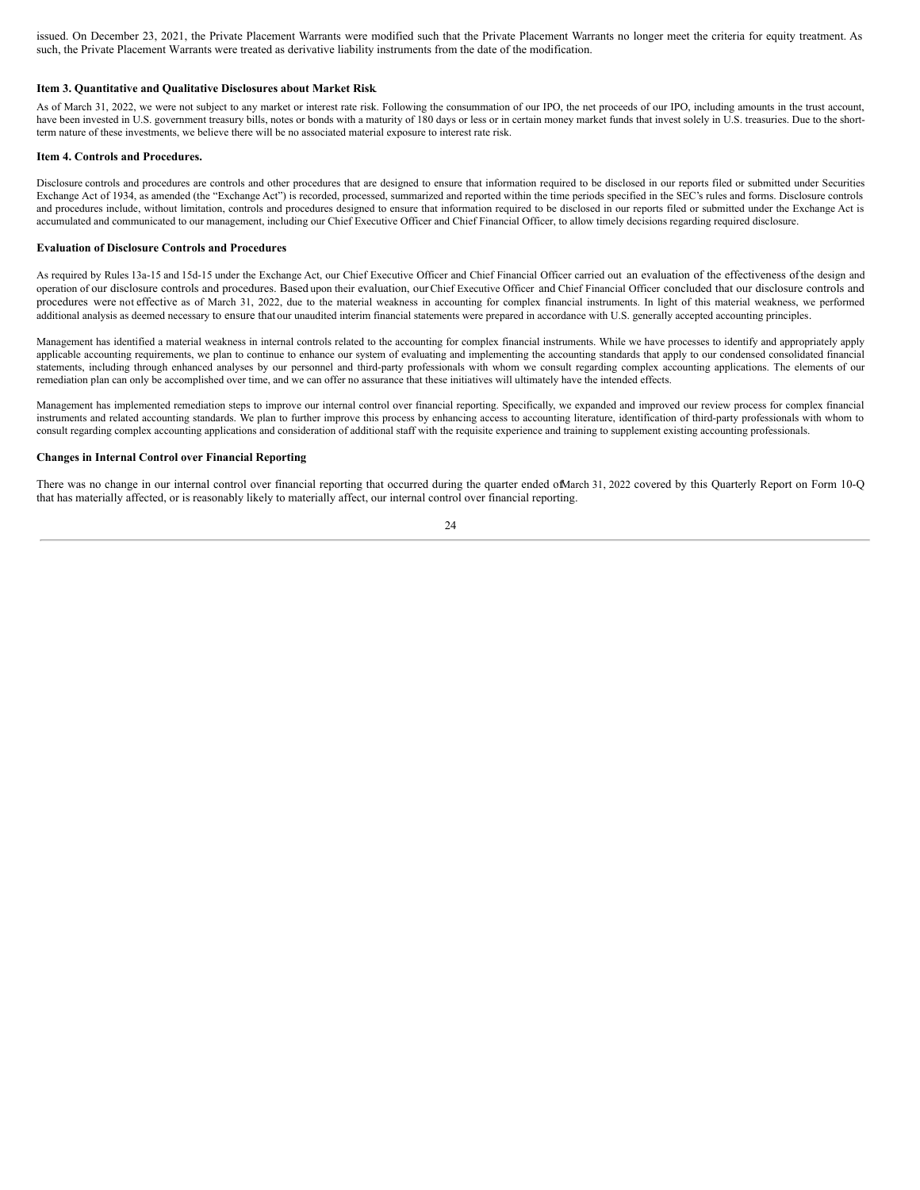issued. On December 23, 2021, the Private Placement Warrants were modified such that the Private Placement Warrants no longer meet the criteria for equity treatment. As such, the Private Placement Warrants were treated as derivative liability instruments from the date of the modification.

### <span id="page-25-0"></span>**Item 3. Quantitative and Qualitative Disclosures about Market Risk**.

As of March 31, 2022, we were not subject to any market or interest rate risk. Following the consummation of our IPO, the net proceeds of our IPO, including amounts in the trust account, have been invested in U.S. government treasury bills, notes or bonds with a maturity of 180 days or less or in certain money market funds that invest solely in U.S. treasuries. Due to the shortterm nature of these investments, we believe there will be no associated material exposure to interest rate risk.

#### <span id="page-25-1"></span>**Item 4. Controls and Procedures.**

Disclosure controls and procedures are controls and other procedures that are designed to ensure that information required to be disclosed in our reports filed or submitted under Securities Exchange Act of 1934, as amended (the "Exchange Act") is recorded, processed, summarized and reported within the time periods specified in the SEC's rules and forms. Disclosure controls and procedures include, without limitation, controls and procedures designed to ensure that information required to be disclosed in our reports filed or submitted under the Exchange Act is accumulated and communicated to our management, including our Chief Executive Officer and Chief Financial Officer, to allow timely decisions regarding required disclosure.

#### **Evaluation of Disclosure Controls and Procedures**

As required by Rules 13a-15 and 15d-15 under the Exchange Act, our Chief Executive Officer and Chief Financial Officer carried out an evaluation of the effectiveness ofthe design and operation of our disclosure controls and procedures. Based upon their evaluation, ourChief Executive Officer and Chief Financial Officer concluded that our disclosure controls and procedures were not effective as of March 31, 2022, due to the material weakness in accounting for complex financial instruments. In light of this material weakness, we performed additional analysis as deemed necessary to ensure thatour unaudited interim financial statements were prepared in accordance with U.S. generally accepted accounting principles.

Management has identified a material weakness in internal controls related to the accounting for complex financial instruments. While we have processes to identify and appropriately apply applicable accounting requirements, we plan to continue to enhance our system of evaluating and implementing the accounting standards that apply to our condensed consolidated financial statements, including through enhanced analyses by our personnel and third-party professionals with whom we consult regarding complex accounting applications. The elements of our remediation plan can only be accomplished over time, and we can offer no assurance that these initiatives will ultimately have the intended effects.

Management has implemented remediation steps to improve our internal control over financial reporting. Specifically, we expanded and improved our review process for complex financial instruments and related accounting standards. We plan to further improve this process by enhancing access to accounting literature, identification of third-party professionals with whom to consult regarding complex accounting applications and consideration of additional staff with the requisite experience and training to supplement existing accounting professionals.

### **Changes in Internal Control over Financial Reporting**

There was no change in our internal control over financial reporting that occurred during the quarter ended ofMarch 31, 2022 covered by this Quarterly Report on Form 10-Q that has materially affected, or is reasonably likely to materially affect, our internal control over financial reporting.

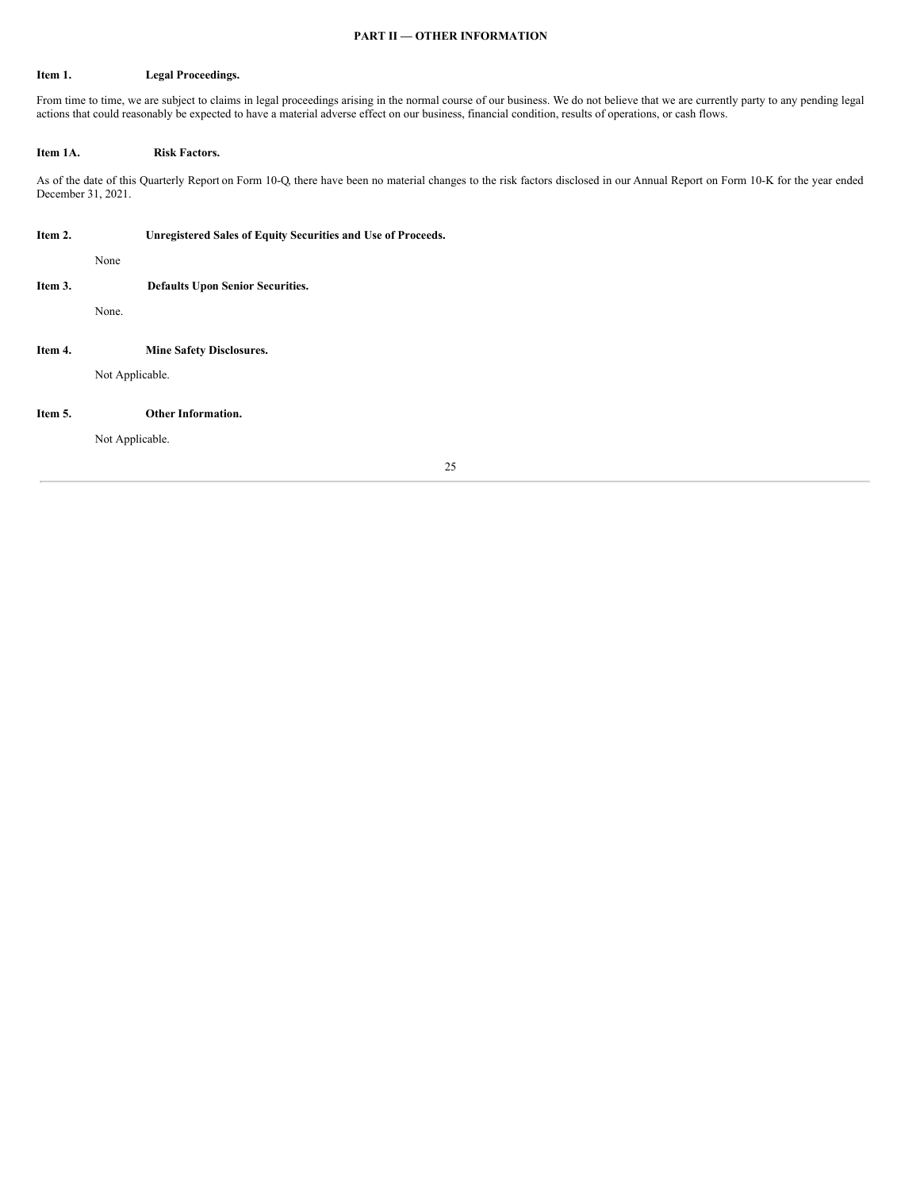# **PART II — OTHER INFORMATION**

# <span id="page-26-1"></span><span id="page-26-0"></span>**Item 1. Legal Proceedings.**

From time to time, we are subject to claims in legal proceedings arising in the normal course of our business. We do not believe that we are currently party to any pending legal actions that could reasonably be expected to have a material adverse effect on our business, financial condition, results of operations, or cash flows.

## <span id="page-26-2"></span>**Item 1A. Risk Factors.**

As of the date of this Quarterly Report on Form 10-Q, there have been no material changes to the risk factors disclosed in our Annual Report on Form 10-K for the year ended December 31, 2021.

<span id="page-26-6"></span><span id="page-26-5"></span><span id="page-26-4"></span><span id="page-26-3"></span>

| Item 2. | Unregistered Sales of Equity Securities and Use of Proceeds. |
|---------|--------------------------------------------------------------|
|         | None                                                         |
| Item 3. | <b>Defaults Upon Senior Securities.</b>                      |
|         | None.                                                        |
| Item 4. | <b>Mine Safety Disclosures.</b>                              |
|         | Not Applicable.                                              |
| Item 5. | <b>Other Information.</b>                                    |
|         | Not Applicable.                                              |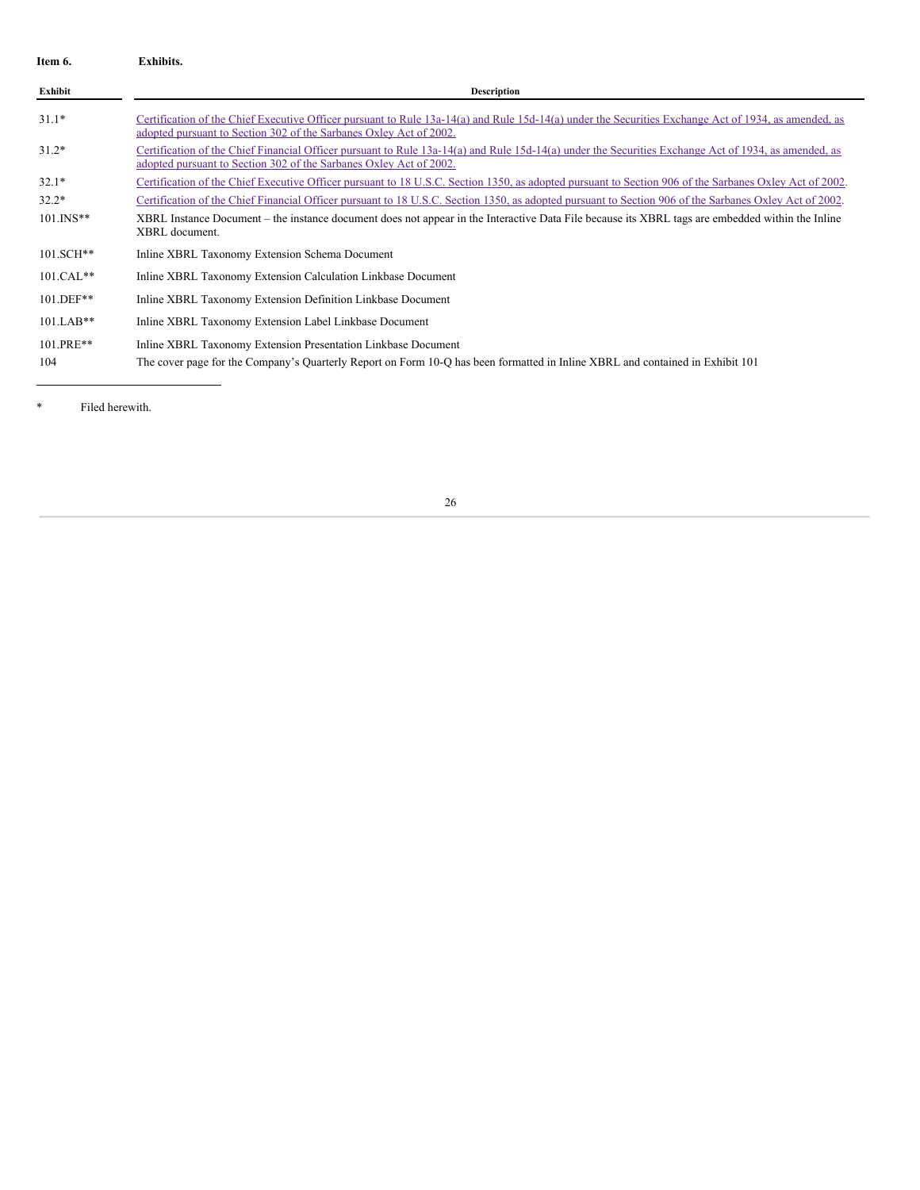<span id="page-27-0"></span>

| Item 6.          | Exhibits.                                                                                                                                                                                                                  |
|------------------|----------------------------------------------------------------------------------------------------------------------------------------------------------------------------------------------------------------------------|
| Exhibit          | <b>Description</b>                                                                                                                                                                                                         |
| $31.1*$          | Certification of the Chief Executive Officer pursuant to Rule 13a-14(a) and Rule 15d-14(a) under the Securities Exchange Act of 1934, as amended, as<br>adopted pursuant to Section 302 of the Sarbanes Oxley Act of 2002. |
| $31.2*$          | Certification of the Chief Financial Officer pursuant to Rule 13a-14(a) and Rule 15d-14(a) under the Securities Exchange Act of 1934, as amended, as<br>adopted pursuant to Section 302 of the Sarbanes Oxley Act of 2002. |
| $32.1*$          | Certification of the Chief Executive Officer pursuant to 18 U.S.C. Section 1350, as adopted pursuant to Section 906 of the Sarbanes Oxley Act of 2002.                                                                     |
| $32.2*$          | Certification of the Chief Financial Officer pursuant to 18 U.S.C. Section 1350, as adopted pursuant to Section 906 of the Sarbanes Oxley Act of 2002.                                                                     |
| $101.$ INS**     | XBRL Instance Document – the instance document does not appear in the Interactive Data File because its XBRL tags are embedded within the Inline<br>XBRL document.                                                         |
| 101.SCH**        | Inline XBRL Taxonomy Extension Schema Document                                                                                                                                                                             |
| $101.CAL**$      | Inline XBRL Taxonomy Extension Calculation Linkbase Document                                                                                                                                                               |
| $101.$ DEF**     | Inline XBRL Taxonomy Extension Definition Linkbase Document                                                                                                                                                                |
| $101.LAB**$      | Inline XBRL Taxonomy Extension Label Linkbase Document                                                                                                                                                                     |
| 101.PRE**<br>104 | Inline XBRL Taxonomy Extension Presentation Linkbase Document<br>The cover page for the Company's Quarterly Report on Form 10-Q has been formatted in Inline XBRL and contained in Exhibit 101                             |
|                  |                                                                                                                                                                                                                            |

\* Filed herewith.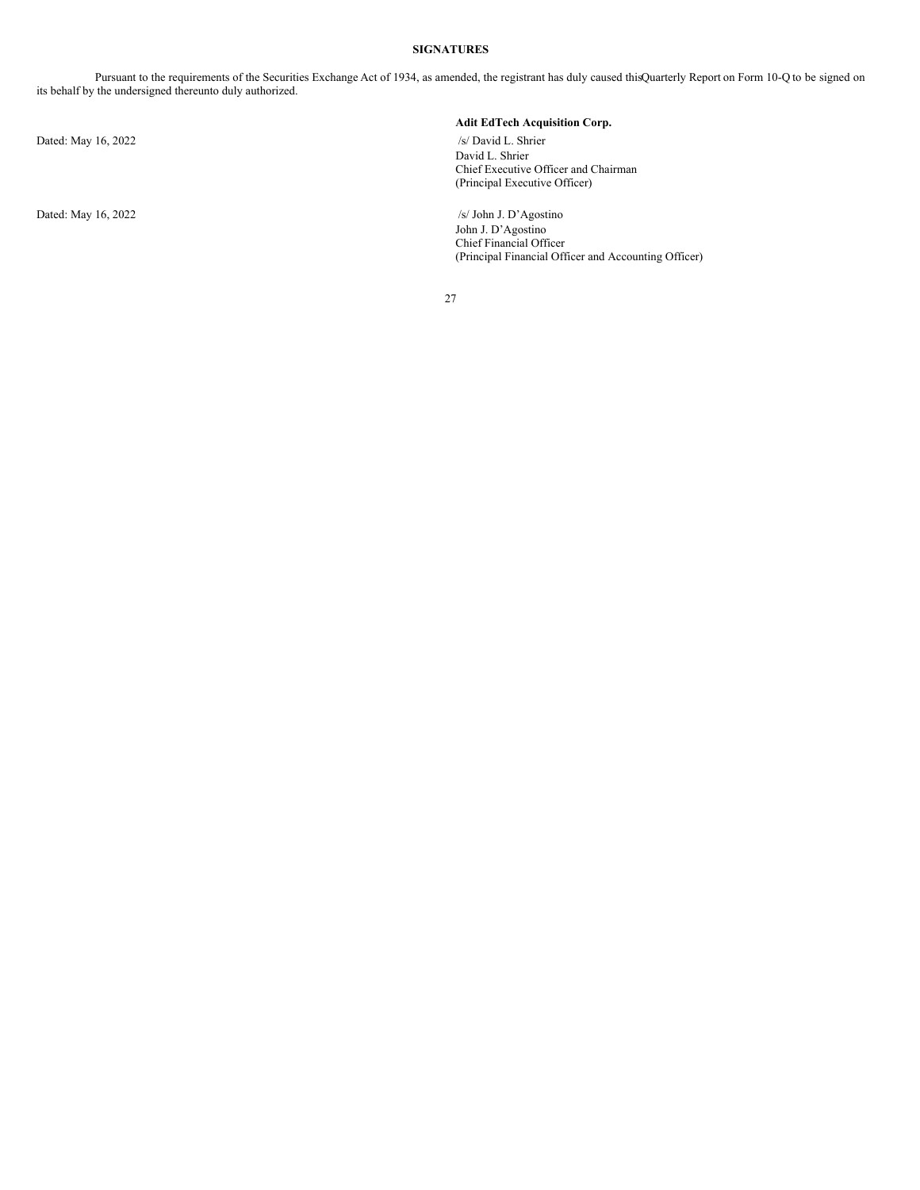# **SIGNATURES**

<span id="page-28-0"></span>Pursuant to the requirements of the Securities Exchange Act of 1934, as amended, the registrant has duly caused thisQuarterly Report on Form 10-Q to be signed on its behalf by the undersigned thereunto duly authorized.

# **Adit EdTech Acquisition Corp.**

Dated: May 16, 2022 /s/ David L. Shrier David L. Shrier Chief Executive Officer and Chairman (Principal Executive Officer)

Dated: May 16, 2022 /s/ John J. D'Agostino John J. D'Agostino Chief Financial Officer (Principal Financial Officer and Accounting Officer)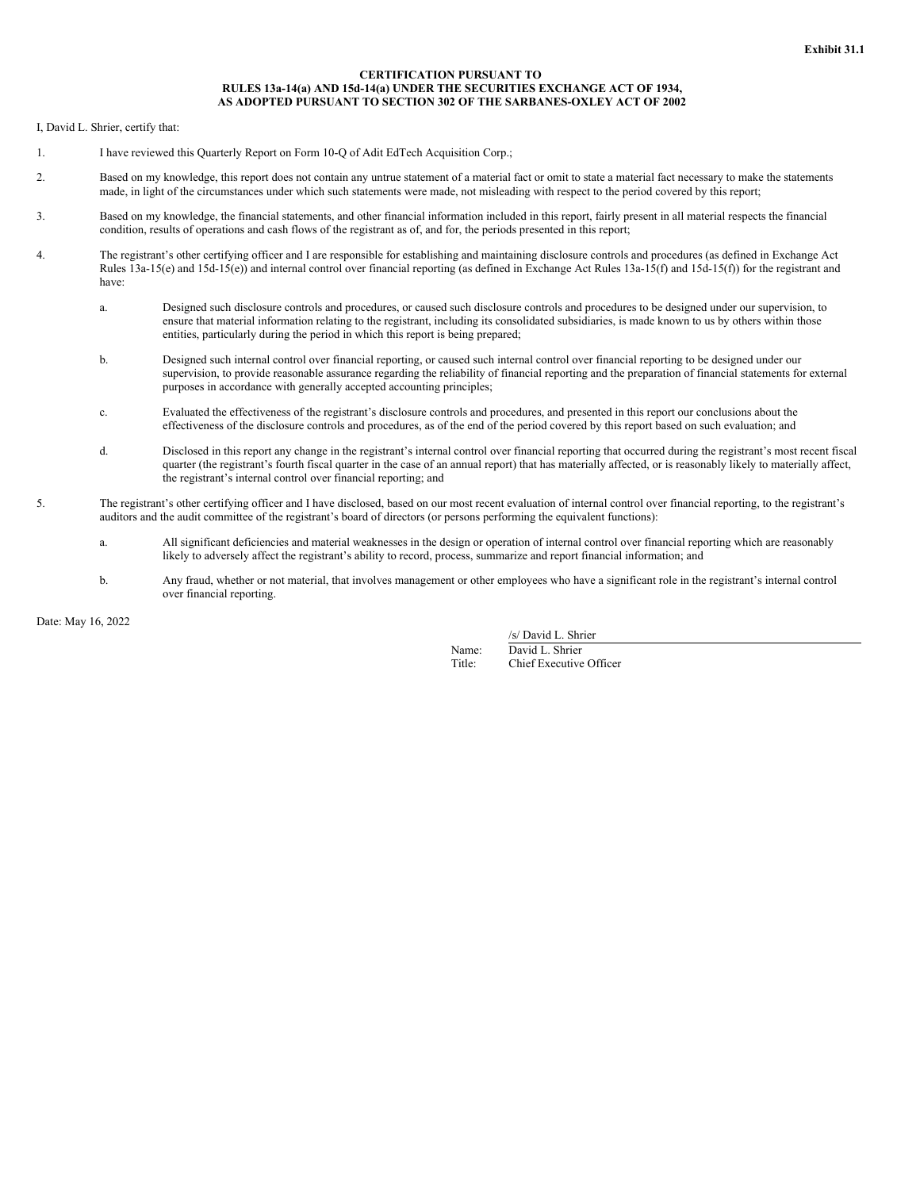#### **CERTIFICATION PURSUANT TO RULES 13a-14(a) AND 15d-14(a) UNDER THE SECURITIES EXCHANGE ACT OF 1934, AS ADOPTED PURSUANT TO SECTION 302 OF THE SARBANES-OXLEY ACT OF 2002**

<span id="page-29-0"></span>I, David L. Shrier, certify that:

- 1. I have reviewed this Quarterly Report on Form 10-Q of Adit EdTech Acquisition Corp.;
- 2. Based on my knowledge, this report does not contain any untrue statement of a material fact or omit to state a material fact necessary to make the statements made, in light of the circumstances under which such statements were made, not misleading with respect to the period covered by this report;
- 3. Based on my knowledge, the financial statements, and other financial information included in this report, fairly present in all material respects the financial condition, results of operations and cash flows of the registrant as of, and for, the periods presented in this report;
- 4. The registrant's other certifying officer and I are responsible for establishing and maintaining disclosure controls and procedures (as defined in Exchange Act Rules 13a-15(e) and 15d-15(e)) and internal control over financial reporting (as defined in Exchange Act Rules 13a-15(f) and 15d-15(f)) for the registrant and have:
	- a. Designed such disclosure controls and procedures, or caused such disclosure controls and procedures to be designed under our supervision, to ensure that material information relating to the registrant, including its consolidated subsidiaries, is made known to us by others within those entities, particularly during the period in which this report is being prepared;
	- b. Designed such internal control over financial reporting, or caused such internal control over financial reporting to be designed under our supervision, to provide reasonable assurance regarding the reliability of financial reporting and the preparation of financial statements for external purposes in accordance with generally accepted accounting principles;
	- c. Evaluated the effectiveness of the registrant's disclosure controls and procedures, and presented in this report our conclusions about the effectiveness of the disclosure controls and procedures, as of the end of the period covered by this report based on such evaluation; and
	- d. Disclosed in this report any change in the registrant's internal control over financial reporting that occurred during the registrant's most recent fiscal quarter (the registrant's fourth fiscal quarter in the case of an annual report) that has materially affected, or is reasonably likely to materially affect, the registrant's internal control over financial reporting; and
- 5. The registrant's other certifying officer and I have disclosed, based on our most recent evaluation of internal control over financial reporting, to the registrant's auditors and the audit committee of the registrant's board of directors (or persons performing the equivalent functions):
	- a. All significant deficiencies and material weaknesses in the design or operation of internal control over financial reporting which are reasonably likely to adversely affect the registrant's ability to record, process, summarize and report financial information; and
	- b. Any fraud, whether or not material, that involves management or other employees who have a significant role in the registrant's internal control over financial reporting.

Date: May 16, 2022

/s/ David L. Shrier

Name: David L. Shrier<br>Title: Chief Executive Chief Executive Officer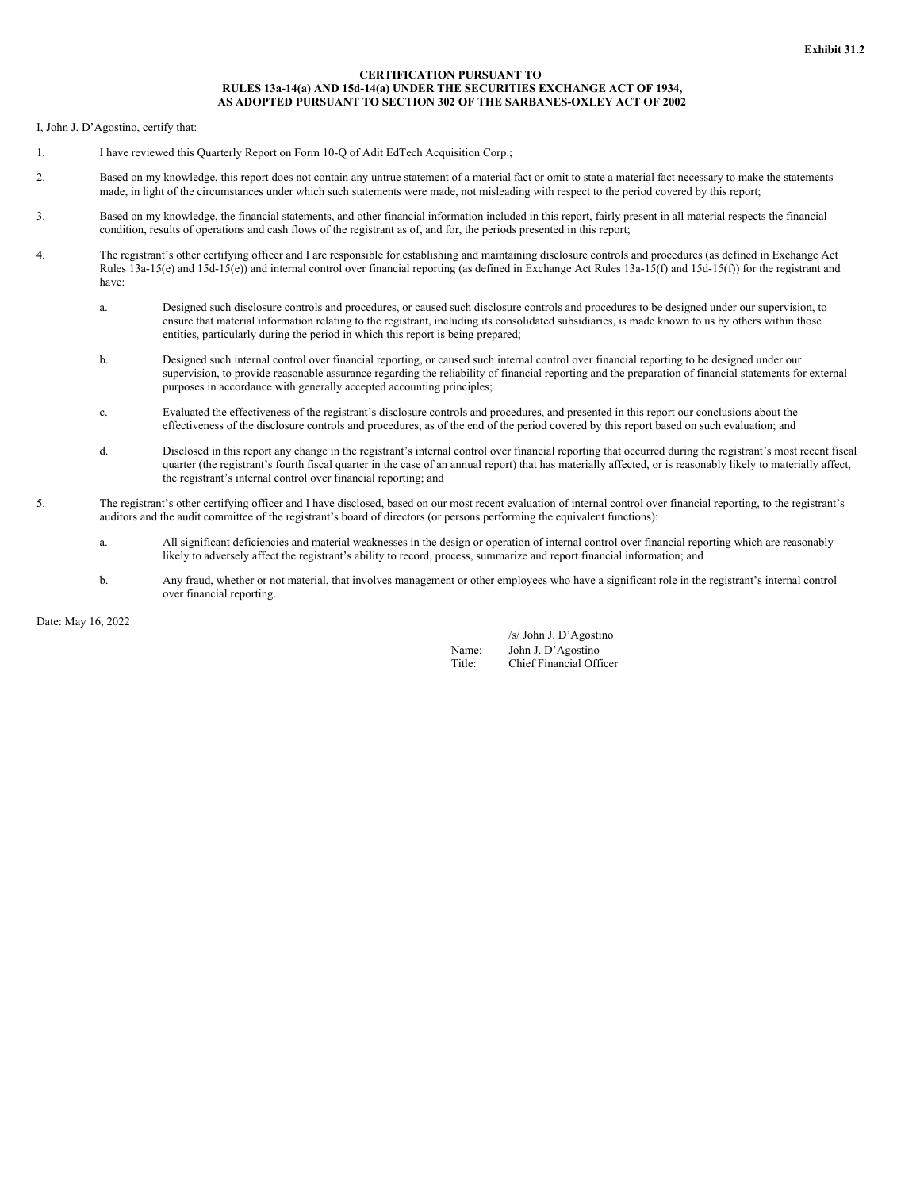### **CERTIFICATION PURSUANT TO RULES 13a-14(a) AND 15d-14(a) UNDER THE SECURITIES EXCHANGE ACT OF 1934, AS ADOPTED PURSUANT TO SECTION 302 OF THE SARBANES-OXLEY ACT OF 2002**

<span id="page-30-0"></span>I, John J. D'Agostino, certify that:

- 1. I have reviewed this Quarterly Report on Form 10-Q of Adit EdTech Acquisition Corp.;
- 2. Based on my knowledge, this report does not contain any untrue statement of a material fact or omit to state a material fact necessary to make the statements made, in light of the circumstances under which such statements were made, not misleading with respect to the period covered by this report;
- 3. Based on my knowledge, the financial statements, and other financial information included in this report, fairly present in all material respects the financial condition, results of operations and cash flows of the registrant as of, and for, the periods presented in this report;
- 4. The registrant's other certifying officer and I are responsible for establishing and maintaining disclosure controls and procedures (as defined in Exchange Act Rules 13a-15(e) and 15d-15(e)) and internal control over financial reporting (as defined in Exchange Act Rules 13a-15(f) and 15d-15(f)) for the registrant and have:
	- a. Designed such disclosure controls and procedures, or caused such disclosure controls and procedures to be designed under our supervision, to ensure that material information relating to the registrant, including its consolidated subsidiaries, is made known to us by others within those entities, particularly during the period in which this report is being prepared;
	- b. Designed such internal control over financial reporting, or caused such internal control over financial reporting to be designed under our supervision, to provide reasonable assurance regarding the reliability of financial reporting and the preparation of financial statements for external purposes in accordance with generally accepted accounting principles;
	- c. Evaluated the effectiveness of the registrant's disclosure controls and procedures, and presented in this report our conclusions about the effectiveness of the disclosure controls and procedures, as of the end of the period covered by this report based on such evaluation; and
	- d. Disclosed in this report any change in the registrant's internal control over financial reporting that occurred during the registrant's most recent fiscal quarter (the registrant's fourth fiscal quarter in the case of an annual report) that has materially affected, or is reasonably likely to materially affect, the registrant's internal control over financial reporting; and
- 5. The registrant's other certifying officer and I have disclosed, based on our most recent evaluation of internal control over financial reporting, to the registrant's auditors and the audit committee of the registrant's board of directors (or persons performing the equivalent functions):
	- a. All significant deficiencies and material weaknesses in the design or operation of internal control over financial reporting which are reasonably likely to adversely affect the registrant's ability to record, process, summarize and report financial information; and
	- b. Any fraud, whether or not material, that involves management or other employees who have a significant role in the registrant's internal control over financial reporting.

Date: May 16, 2022

/s/ John J. D'Agostino

Name: John J. D'Agostino<br>Title: Chief Financial Off Chief Financial Officer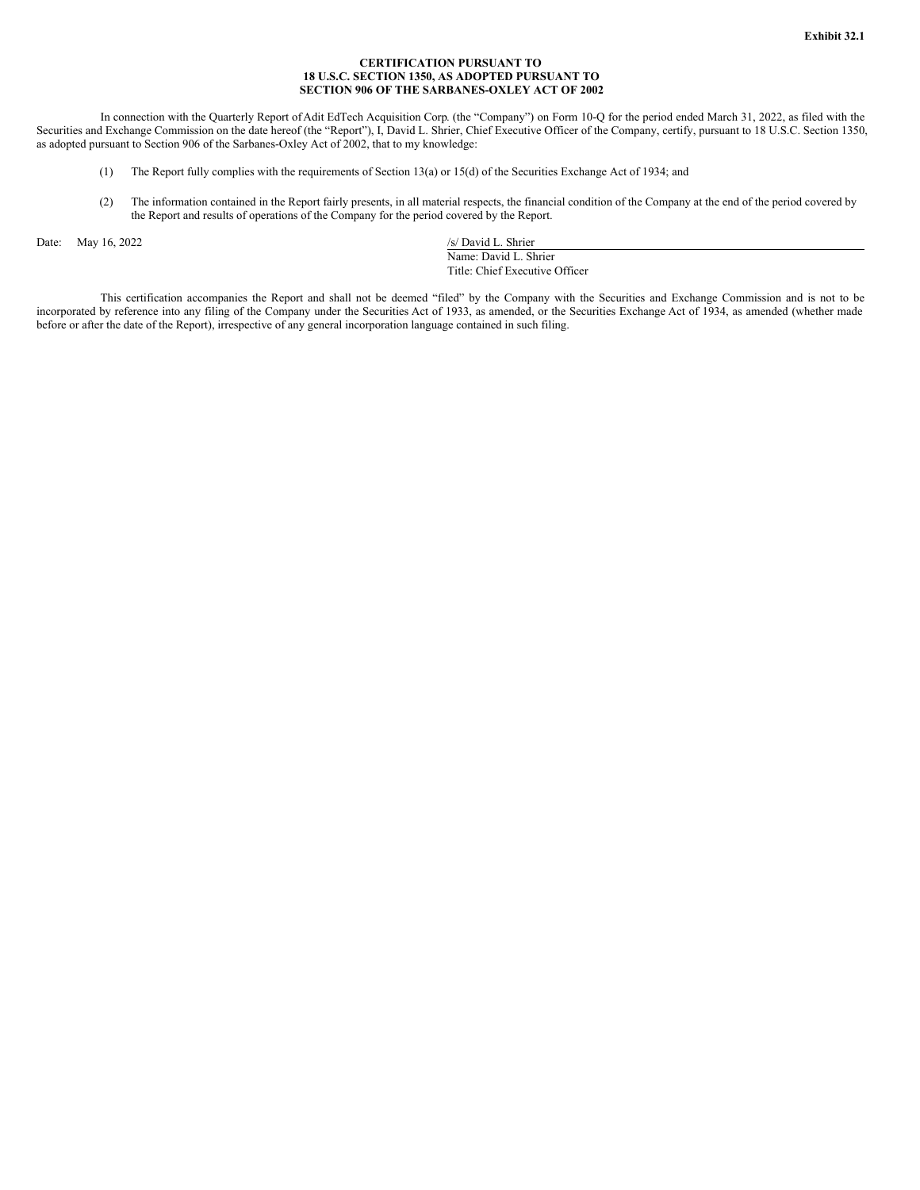### **CERTIFICATION PURSUANT TO 18 U.S.C. SECTION 1350, AS ADOPTED PURSUANT TO SECTION 906 OF THE SARBANES-OXLEY ACT OF 2002**

<span id="page-31-0"></span>In connection with the Quarterly Report ofAdit EdTech Acquisition Corp. (the "Company") on Form 10-Q for the period ended March 31, 2022, as filed with the Securities and Exchange Commission on the date hereof (the "Report"), I, David L. Shrier, Chief Executive Officer of the Company, certify, pursuant to 18 U.S.C. Section 1350, as adopted pursuant to Section 906 of the Sarbanes-Oxley Act of 2002, that to my knowledge:

- (1) The Report fully complies with the requirements of Section 13(a) or 15(d) of the Securities Exchange Act of 1934; and
- (2) The information contained in the Report fairly presents, in all material respects, the financial condition of the Company at the end of the period covered by the Report and results of operations of the Company for the period covered by the Report.

Date: May 16, 2022 /s/ David L. Shrier

Name: David L. Shrier Title: Chief Executive Officer

This certification accompanies the Report and shall not be deemed "filed" by the Company with the Securities and Exchange Commission and is not to be incorporated by reference into any filing of the Company under the Securities Act of 1933, as amended, or the Securities Exchange Act of 1934, as amended (whether made before or after the date of the Report), irrespective of any general incorporation language contained in such filing.